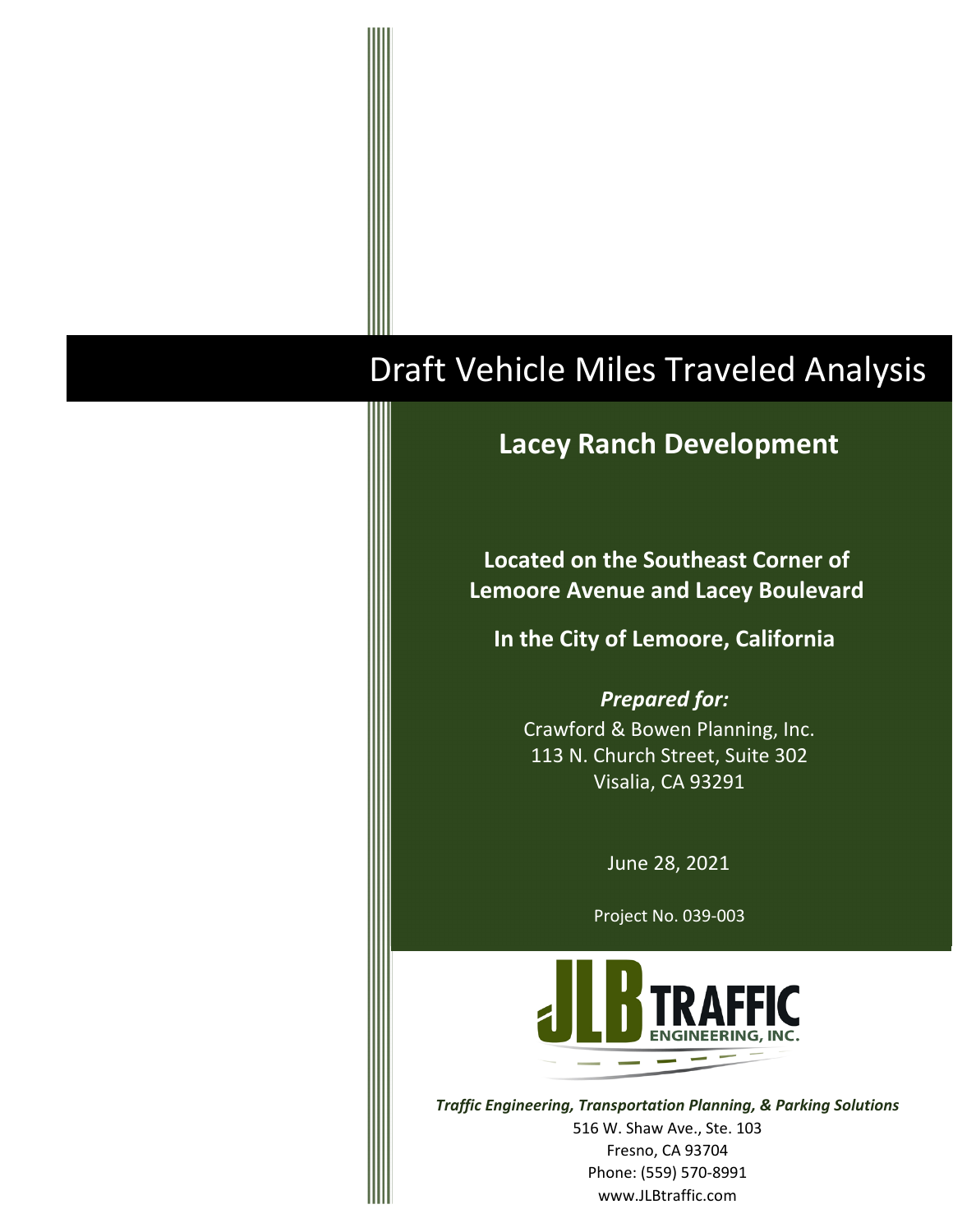# Draft Vehicle Miles Traveled Analysis

# **Lacey Ranch Development**

**Located on the Southeast Corner of Lemoore Avenue and Lacey Boulevard** 

**In the City of Lemoore, California**

*Prepared for:* Crawford & Bowen Planning, Inc. 113 N. Church Street, Suite 302 Visalia, CA 93291

June 28, 2021

Project No. 039‐003



*Traffic Engineering, Transportation Planning, & Parking Solutions* 516 W. Shaw Ave., Ste. 103 Fresno, CA 93704 Phone: (559) 570‐8991 www.JLBtraffic.com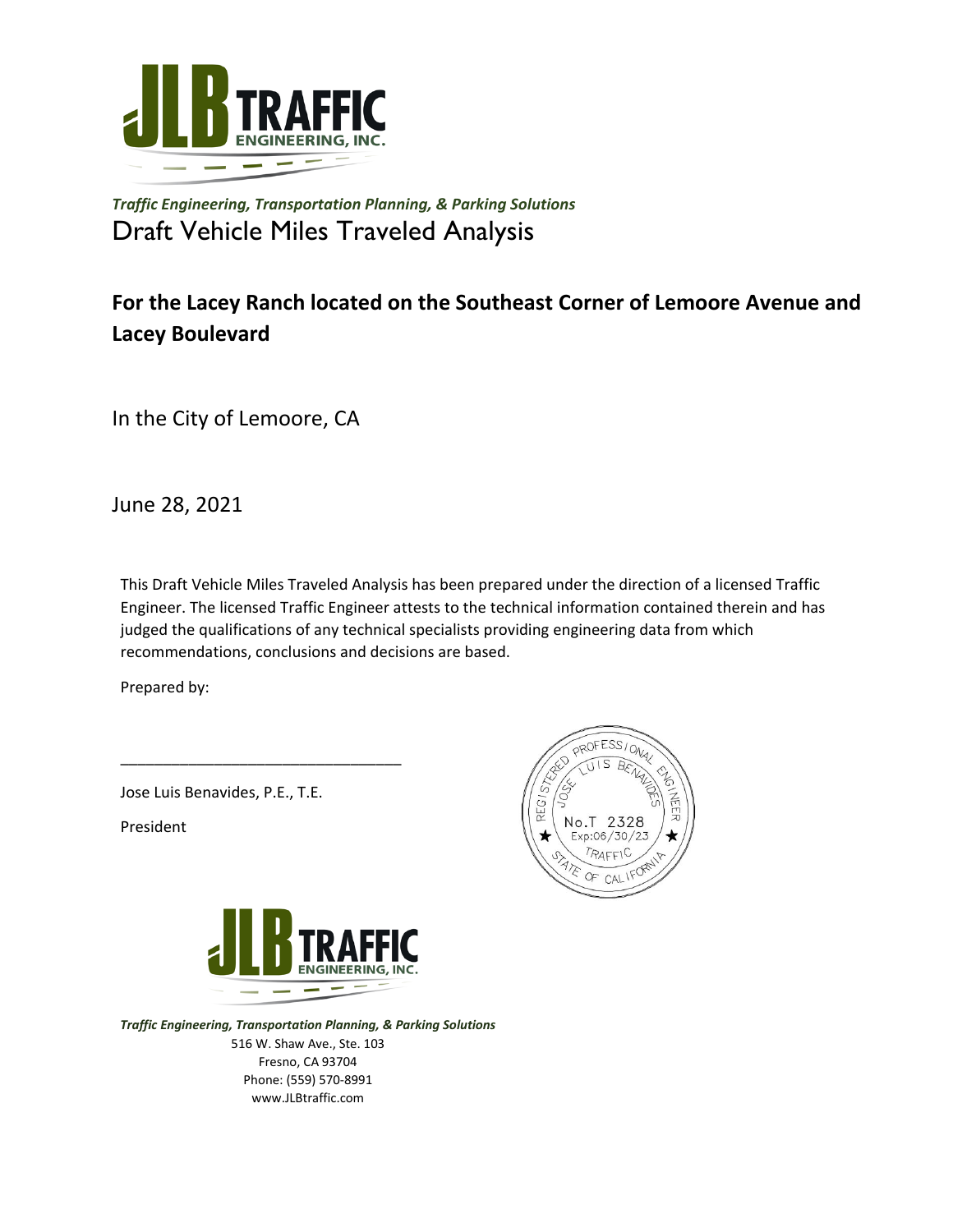

*Traffic Engineering, Transportation Planning, & Parking Solutions* Draft Vehicle Miles Traveled Analysis

# **For the Lacey Ranch located on the Southeast Corner of Lemoore Avenue and Lacey Boulevard**

In the City of Lemoore, CA

June 28, 2021

This Draft Vehicle Miles Traveled Analysis has been prepared under the direction of a licensed Traffic Engineer. The licensed Traffic Engineer attests to the technical information contained therein and has judged the qualifications of any technical specialists providing engineering data from which recommendations, conclusions and decisions are based.

Prepared by:

Jose Luis Benavides, P.E., T.E.

\_\_\_\_\_\_\_\_\_\_\_\_\_\_\_\_\_\_\_\_\_\_\_\_\_\_\_\_\_\_\_\_\_

President



*Traffic Engineering, Transportation Planning, & Parking Solutions* 516 W. Shaw Ave., Ste. 103 Fresno, CA 93704 Phone: (559) 570‐8991 www.JLBtraffic.com

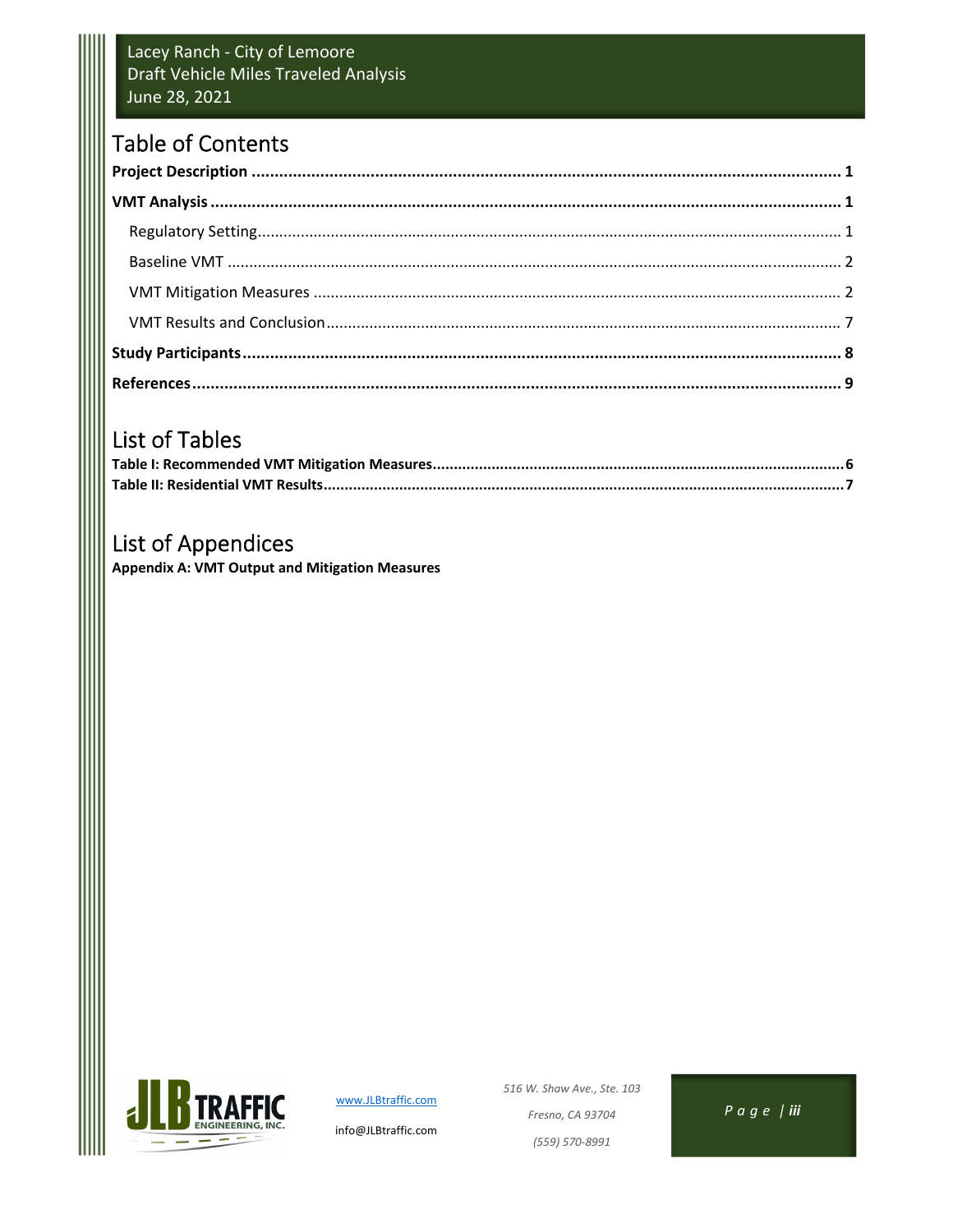#### Lacey Ranch - City of Lemoore Draft Vehicle Miles Traveled Analysis June 28, 2021

# **Table of Contents**

# List of Tables

# **List of Appendices**

**Appendix A: VMT Output and Mitigation Measures** 



www.JLBtraffic.com

info@JLBtraffic.com

516 W. Shaw Ave., Ste. 103 Fresno, CA 93704 (559) 570-8991

 $P \alpha \theta e /$ iii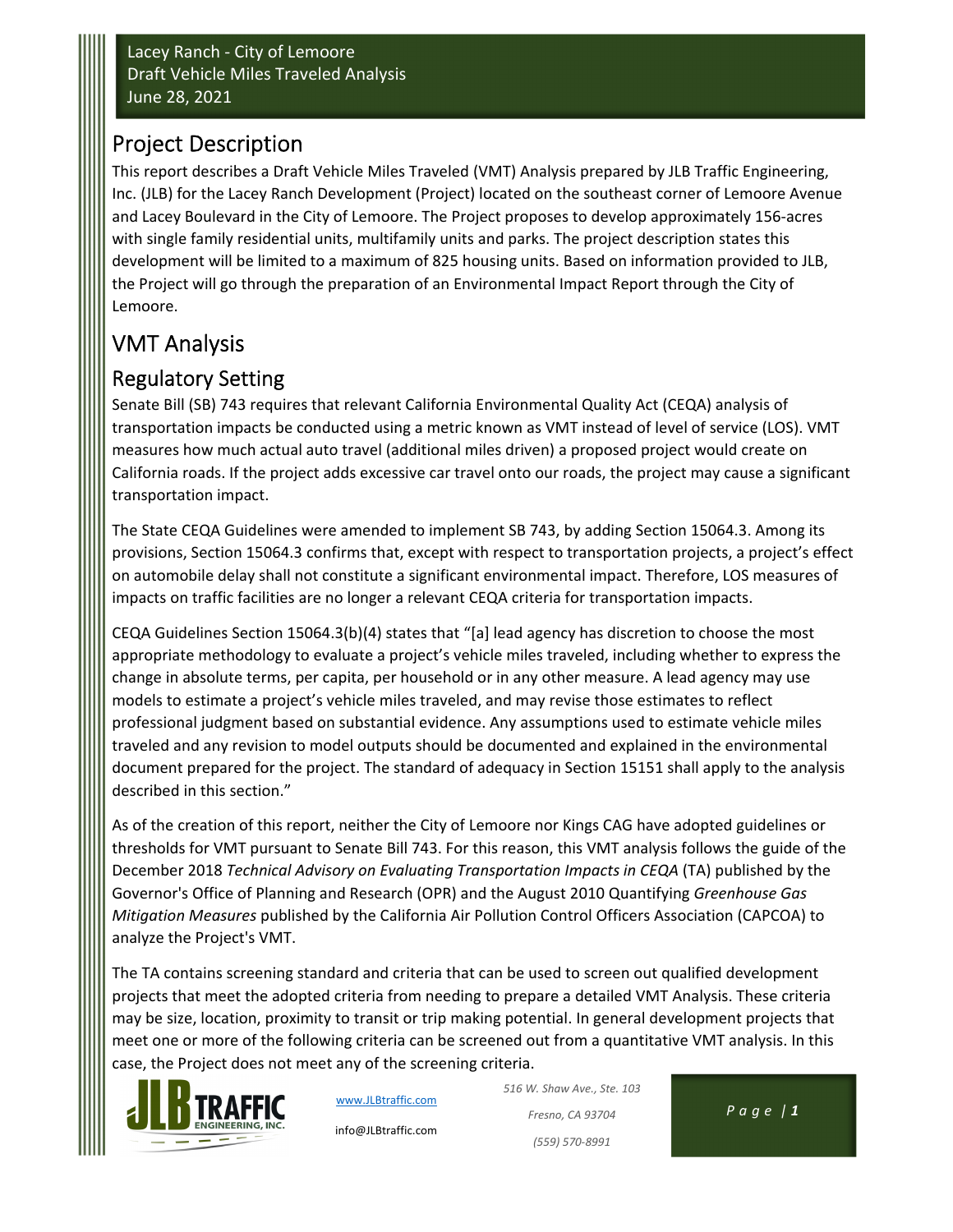# Project Description

This report describes a Draft Vehicle Miles Traveled (VMT) Analysis prepared by JLB Traffic Engineering, Inc. (JLB) for the Lacey Ranch Development (Project) located on the southeast corner of Lemoore Avenue and Lacey Boulevard in the City of Lemoore. The Project proposes to develop approximately 156‐acres with single family residential units, multifamily units and parks. The project description states this development will be limited to a maximum of 825 housing units. Based on information provided to JLB, the Project will go through the preparation of an Environmental Impact Report through the City of Lemoore.

# VMT Analysis

# Regulatory Setting

Senate Bill (SB) 743 requires that relevant California Environmental Quality Act (CEQA) analysis of transportation impacts be conducted using a metric known as VMT instead of level of service (LOS). VMT measures how much actual auto travel (additional miles driven) a proposed project would create on California roads. If the project adds excessive car travel onto our roads, the project may cause a significant transportation impact.

The State CEQA Guidelines were amended to implement SB 743, by adding Section 15064.3. Among its provisions, Section 15064.3 confirms that, except with respect to transportation projects, a project's effect on automobile delay shall not constitute a significant environmental impact. Therefore, LOS measures of impacts on traffic facilities are no longer a relevant CEQA criteria for transportation impacts.

CEQA Guidelines Section 15064.3(b)(4) states that "[a] lead agency has discretion to choose the most appropriate methodology to evaluate a project's vehicle miles traveled, including whether to express the change in absolute terms, per capita, per household or in any other measure. A lead agency may use models to estimate a project's vehicle miles traveled, and may revise those estimates to reflect professional judgment based on substantial evidence. Any assumptions used to estimate vehicle miles traveled and any revision to model outputs should be documented and explained in the environmental document prepared for the project. The standard of adequacy in Section 15151 shall apply to the analysis described in this section."

As of the creation of this report, neither the City of Lemoore nor Kings CAG have adopted guidelines or thresholds for VMT pursuant to Senate Bill 743. For this reason, this VMT analysis follows the guide of the December 2018 *Technical Advisory on Evaluating Transportation Impacts in CEQA* (TA) published by the Governor's Office of Planning and Research (OPR) and the August 2010 Quantifying *Greenhouse Gas Mitigation Measures* published by the California Air Pollution Control Officers Association (CAPCOA) to analyze the Project's VMT.

The TA contains screening standard and criteria that can be used to screen out qualified development projects that meet the adopted criteria from needing to prepare a detailed VMT Analysis. These criteria may be size, location, proximity to transit or trip making potential. In general development projects that meet one or more of the following criteria can be screened out from a quantitative VMT analysis. In this case, the Project does not meet any of the screening criteria.



www.JLBtraffic.com

info@JLBtraffic.com

*516 W. Shaw Ave., Ste. 103 Fresno, CA 93704 Page | 1 (559) 570‐8991*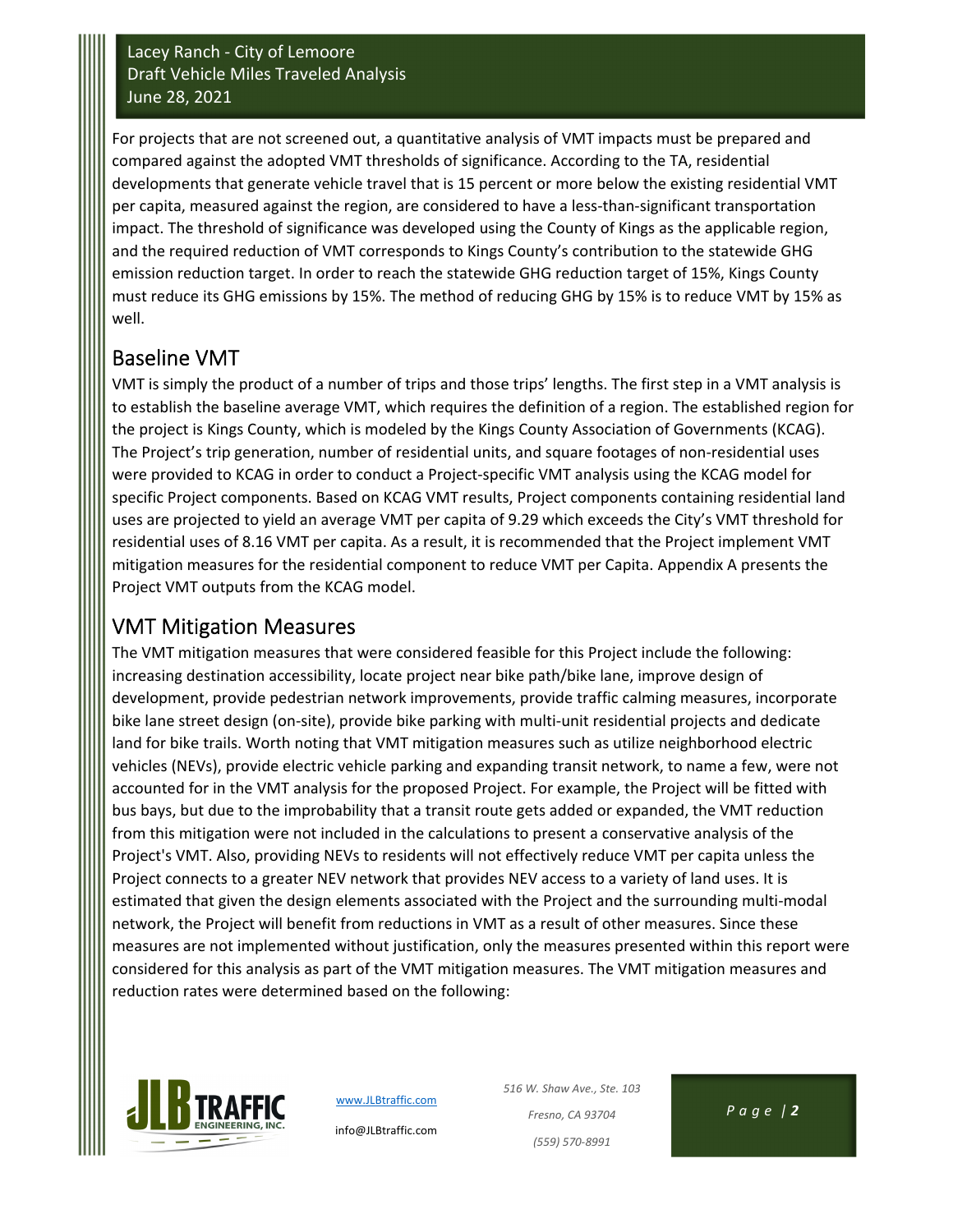For projects that are not screened out, a quantitative analysis of VMT impacts must be prepared and compared against the adopted VMT thresholds of significance. According to the TA, residential developments that generate vehicle travel that is 15 percent or more below the existing residential VMT per capita, measured against the region, are considered to have a less-than-significant transportation impact. The threshold of significance was developed using the County of Kings as the applicable region, and the required reduction of VMT corresponds to Kings County's contribution to the statewide GHG emission reduction target. In order to reach the statewide GHG reduction target of 15%, Kings County must reduce its GHG emissions by 15%. The method of reducing GHG by 15% is to reduce VMT by 15% as well.

## Baseline VMT

VMT is simply the product of a number of trips and those trips' lengths. The first step in a VMT analysis is to establish the baseline average VMT, which requires the definition of a region. The established region for the project is Kings County, which is modeled by the Kings County Association of Governments (KCAG). The Project's trip generation, number of residential units, and square footages of non-residential uses were provided to KCAG in order to conduct a Project-specific VMT analysis using the KCAG model for specific Project components. Based on KCAG VMT results, Project components containing residential land uses are projected to yield an average VMT per capita of 9.29 which exceeds the City's VMT threshold for residential uses of 8.16 VMT per capita. As a result, it is recommended that the Project implement VMT mitigation measures for the residential component to reduce VMT per Capita. Appendix A presents the Project VMT outputs from the KCAG model.

## VMT Mitigation Measures

The VMT mitigation measures that were considered feasible for this Project include the following: increasing destination accessibility, locate project near bike path/bike lane, improve design of development, provide pedestrian network improvements, provide traffic calming measures, incorporate bike lane street design (on-site), provide bike parking with multi-unit residential projects and dedicate land for bike trails. Worth noting that VMT mitigation measures such as utilize neighborhood electric vehicles (NEVs), provide electric vehicle parking and expanding transit network, to name a few, were not accounted for in the VMT analysis for the proposed Project. For example, the Project will be fitted with bus bays, but due to the improbability that a transit route gets added or expanded, the VMT reduction from this mitigation were not included in the calculations to present a conservative analysis of the Project's VMT. Also, providing NEVs to residents will not effectively reduce VMT per capita unless the Project connects to a greater NEV network that provides NEV access to a variety of land uses. It is estimated that given the design elements associated with the Project and the surrounding multi-modal network, the Project will benefit from reductions in VMT as a result of other measures. Since these measures are not implemented without justification, only the measures presented within this report were considered for this analysis as part of the VMT mitigation measures. The VMT mitigation measures and reduction rates were determined based on the following:



www.JLBtraffic.com

info@JLBtraffic.com

*516 W. Shaw Ave., Ste. 103 Fresno, CA 93704 Page | 2 (559) 570‐8991*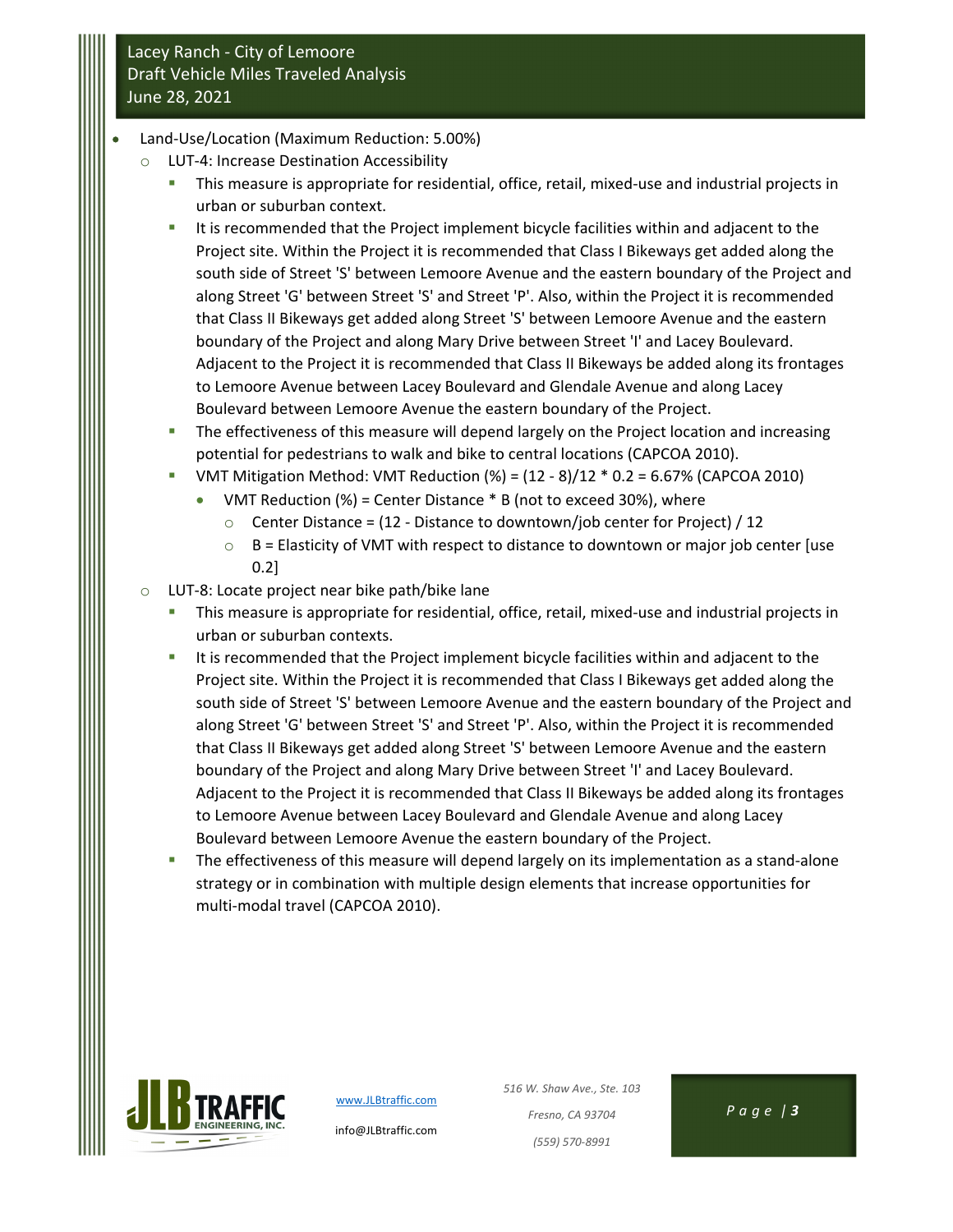- Land‐Use/Location (Maximum Reduction: 5.00%)
	- LUT-4: Increase Destination Accessibility
		- This measure is appropriate for residential, office, retail, mixed-use and industrial projects in urban or suburban context.
		- It is recommended that the Project implement bicycle facilities within and adjacent to the Project site. Within the Project it is recommended that Class I Bikeways get added along the south side of Street 'S' between Lemoore Avenue and the eastern boundary of the Project and along Street 'G' between Street 'S' and Street 'P'. Also, within the Project it is recommended that Class II Bikeways get added along Street 'S' between Lemoore Avenue and the eastern boundary of the Project and along Mary Drive between Street 'I' and Lacey Boulevard. Adjacent to the Project it is recommended that Class II Bikeways be added along its frontages to Lemoore Avenue between Lacey Boulevard and Glendale Avenue and along Lacey Boulevard between Lemoore Avenue the eastern boundary of the Project.
		- **The effectiveness of this measure will depend largely on the Project location and increasing** potential for pedestrians to walk and bike to central locations (CAPCOA 2010).
		- VMT Mitigation Method: VMT Reduction  $(\%) = (12 8)/12 * 0.2 = 6.67%$  (CAPCOA 2010)
			- VMT Reduction  $(\%)$  = Center Distance  $*$  B (not to exceed 30%), where
				- $\circ$  Center Distance = (12 Distance to downtown/job center for Project) / 12
				- $\circ$  B = Elasticity of VMT with respect to distance to downtown or major job center [use 0.2]
	- o LUT‐8: Locate project near bike path/bike lane
		- This measure is appropriate for residential, office, retail, mixed-use and industrial projects in urban or suburban contexts.
		- It is recommended that the Project implement bicycle facilities within and adjacent to the Project site. Within the Project it is recommended that Class I Bikeways get added along the south side of Street 'S' between Lemoore Avenue and the eastern boundary of the Project and along Street 'G' between Street 'S' and Street 'P'. Also, within the Project it is recommended that Class II Bikeways get added along Street 'S' between Lemoore Avenue and the eastern boundary of the Project and along Mary Drive between Street 'I' and Lacey Boulevard. Adjacent to the Project it is recommended that Class II Bikeways be added along its frontages to Lemoore Avenue between Lacey Boulevard and Glendale Avenue and along Lacey Boulevard between Lemoore Avenue the eastern boundary of the Project.
		- The effectiveness of this measure will depend largely on its implementation as a stand-alone strategy or in combination with multiple design elements that increase opportunities for multi‐modal travel (CAPCOA 2010).



www.JLBtraffic.com

info@JLBtraffic.com

*516 W. Shaw Ave., Ste. 103 Fresno, CA 93704 Page | 3 (559) 570‐8991*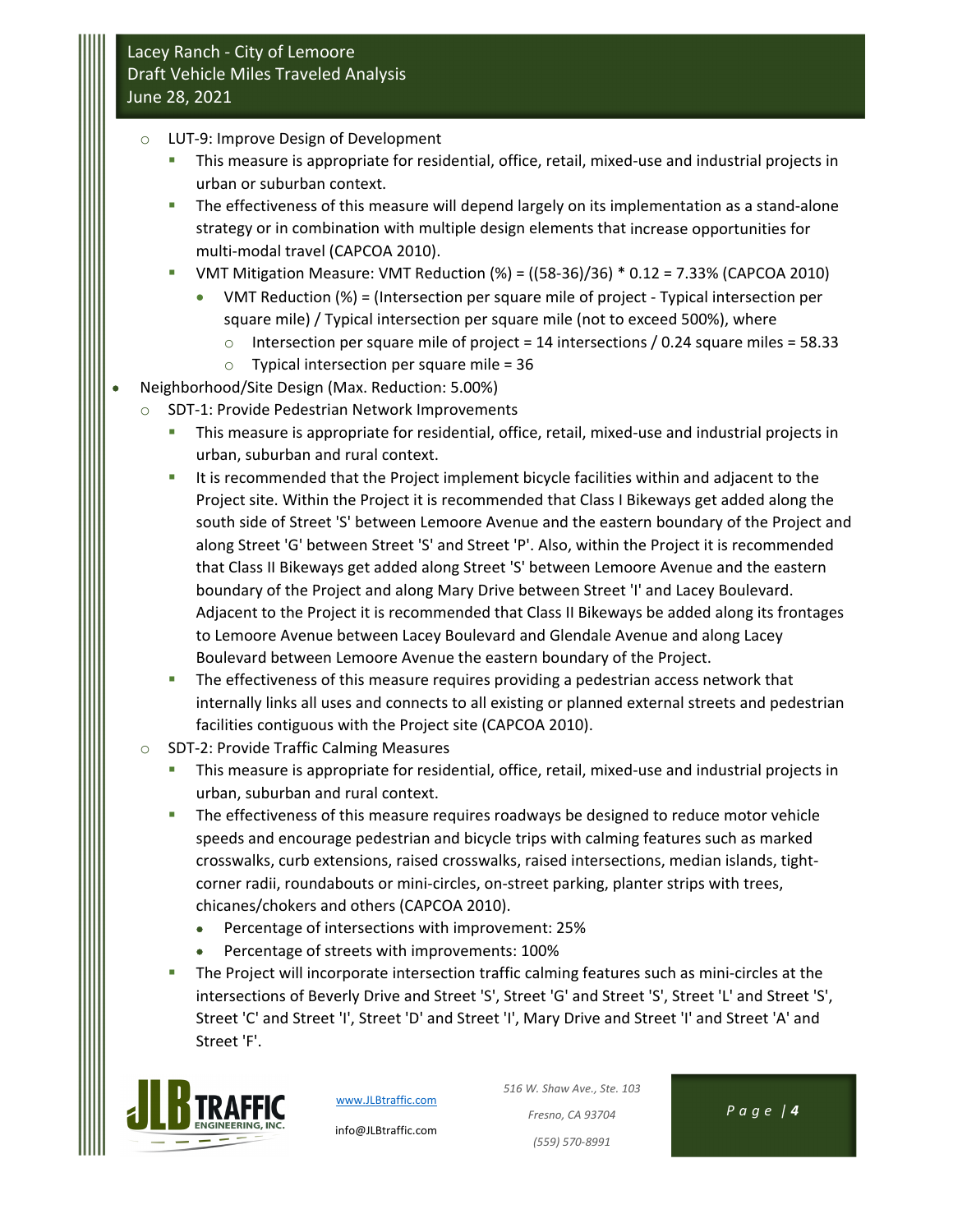- o LUT‐9: Improve Design of Development
	- This measure is appropriate for residential, office, retail, mixed-use and industrial projects in urban or suburban context.
	- The effectiveness of this measure will depend largely on its implementation as a stand-alone strategy or in combination with multiple design elements that increase opportunities for multi‐modal travel (CAPCOA 2010).
	- VMT Mitigation Measure: VMT Reduction  $(\%) = ((58-36)/36) * 0.12 = 7.33%$  (CAPCOA 2010)
		- VMT Reduction (%) = (Intersection per square mile of project ‐ Typical intersection per square mile) / Typical intersection per square mile (not to exceed 500%), where
			- $\circ$  Intersection per square mile of project = 14 intersections / 0.24 square miles = 58.33
			- $\circ$  Typical intersection per square mile = 36
- Neighborhood/Site Design (Max. Reduction: 5.00%)
	- o SDT‐1: Provide Pedestrian Network Improvements
		- This measure is appropriate for residential, office, retail, mixed-use and industrial projects in urban, suburban and rural context.
		- It is recommended that the Project implement bicycle facilities within and adjacent to the Project site. Within the Project it is recommended that Class I Bikeways get added along the south side of Street 'S' between Lemoore Avenue and the eastern boundary of the Project and along Street 'G' between Street 'S' and Street 'P'. Also, within the Project it is recommended that Class II Bikeways get added along Street 'S' between Lemoore Avenue and the eastern boundary of the Project and along Mary Drive between Street 'I' and Lacey Boulevard. Adjacent to the Project it is recommended that Class II Bikeways be added along its frontages to Lemoore Avenue between Lacey Boulevard and Glendale Avenue and along Lacey Boulevard between Lemoore Avenue the eastern boundary of the Project.
		- **The effectiveness of this measure requires providing a pedestrian access network that** internally links all uses and connects to all existing or planned external streets and pedestrian facilities contiguous with the Project site (CAPCOA 2010).
	- o SDT‐2: Provide Traffic Calming Measures
		- This measure is appropriate for residential, office, retail, mixed-use and industrial projects in urban, suburban and rural context.
		- The effectiveness of this measure requires roadways be designed to reduce motor vehicle speeds and encourage pedestrian and bicycle trips with calming features such as marked crosswalks, curb extensions, raised crosswalks, raised intersections, median islands, tight‐ corner radii, roundabouts or mini-circles, on-street parking, planter strips with trees, chicanes/chokers and others (CAPCOA 2010).
			- Percentage of intersections with improvement: 25%
			- Percentage of streets with improvements: 100%
		- The Project will incorporate intersection traffic calming features such as mini-circles at the intersections of Beverly Drive and Street 'S', Street 'G' and Street 'S', Street 'L' and Street 'S', Street 'C' and Street 'I', Street 'D' and Street 'I', Mary Drive and Street 'I' and Street 'A' and Street 'F'.



www.JLBtraffic.com

info@JLBtraffic.com

*516 W. Shaw Ave., Ste. 103 Fresno, CA 93704 Page | 4 (559) 570‐8991*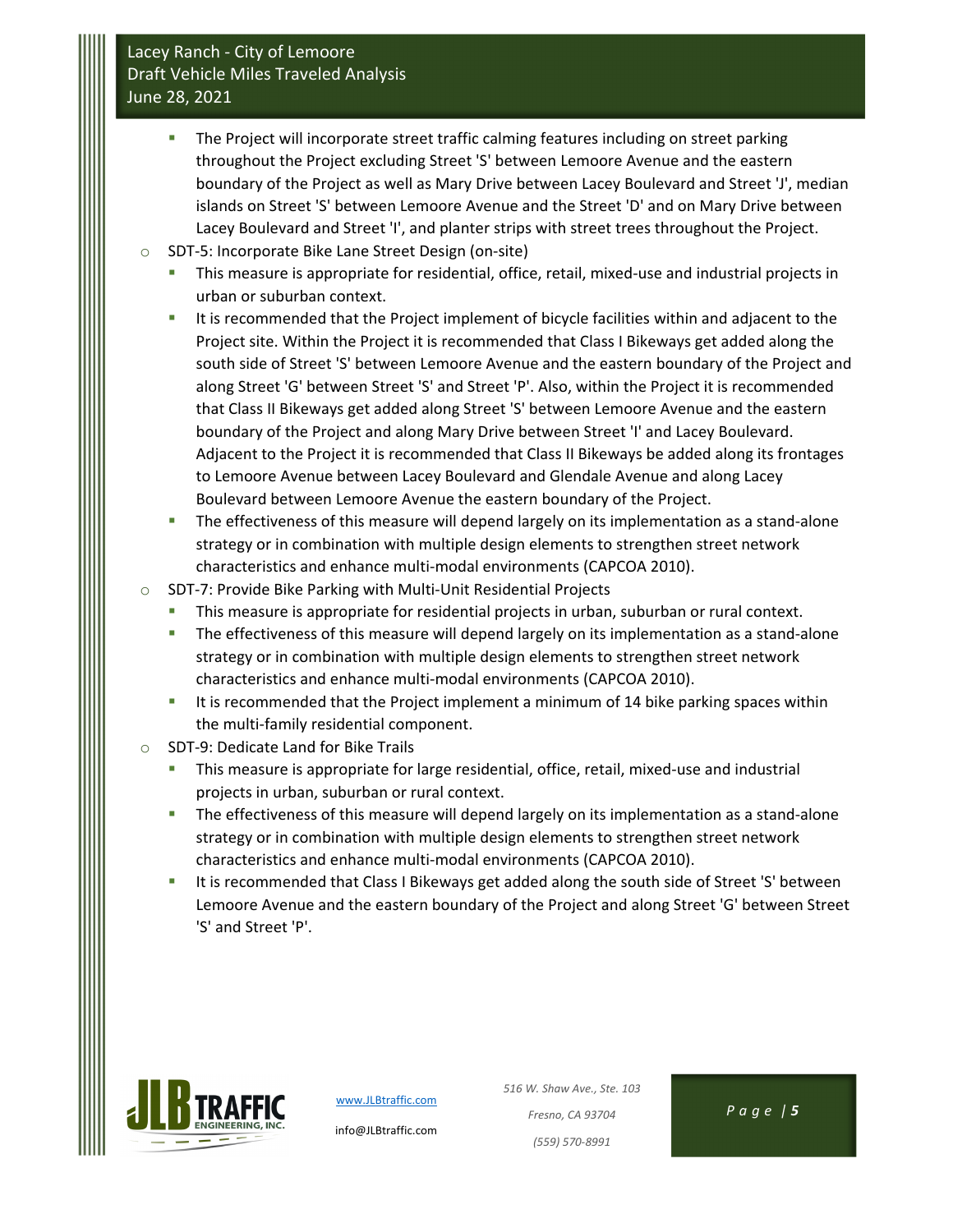- **The Project will incorporate street traffic calming features including on street parking** throughout the Project excluding Street 'S' between Lemoore Avenue and the eastern boundary of the Project as well as Mary Drive between Lacey Boulevard and Street 'J', median islands on Street 'S' between Lemoore Avenue and the Street 'D' and on Mary Drive between Lacey Boulevard and Street 'I', and planter strips with street trees throughout the Project.
- o SDT‐5: Incorporate Bike Lane Street Design (on‐site)
	- This measure is appropriate for residential, office, retail, mixed-use and industrial projects in urban or suburban context.
	- It is recommended that the Project implement of bicycle facilities within and adjacent to the Project site. Within the Project it is recommended that Class I Bikeways get added along the south side of Street 'S' between Lemoore Avenue and the eastern boundary of the Project and along Street 'G' between Street 'S' and Street 'P'. Also, within the Project it is recommended that Class II Bikeways get added along Street 'S' between Lemoore Avenue and the eastern boundary of the Project and along Mary Drive between Street 'I' and Lacey Boulevard. Adjacent to the Project it is recommended that Class II Bikeways be added along its frontages to Lemoore Avenue between Lacey Boulevard and Glendale Avenue and along Lacey Boulevard between Lemoore Avenue the eastern boundary of the Project.
	- The effectiveness of this measure will depend largely on its implementation as a stand-alone strategy or in combination with multiple design elements to strengthen street network characteristics and enhance multi‐modal environments (CAPCOA 2010).
- o SDT‐7: Provide Bike Parking with Multi‐Unit Residential Projects
	- **This measure is appropriate for residential projects in urban, suburban or rural context.**
	- The effectiveness of this measure will depend largely on its implementation as a stand-alone strategy or in combination with multiple design elements to strengthen street network characteristics and enhance multi‐modal environments (CAPCOA 2010).
	- It is recommended that the Project implement a minimum of 14 bike parking spaces within the multi-family residential component.
- o SDT‐9: Dedicate Land for Bike Trails
	- This measure is appropriate for large residential, office, retail, mixed-use and industrial projects in urban, suburban or rural context.
	- The effectiveness of this measure will depend largely on its implementation as a stand-alone strategy or in combination with multiple design elements to strengthen street network characteristics and enhance multi‐modal environments (CAPCOA 2010).
	- It is recommended that Class I Bikeways get added along the south side of Street 'S' between Lemoore Avenue and the eastern boundary of the Project and along Street 'G' between Street 'S' and Street 'P'.



www.JLBtraffic.com info@JLBtraffic.com

*516 W. Shaw Ave., Ste. 103 Fresno, CA 93704 Page | 5 (559) 570‐8991*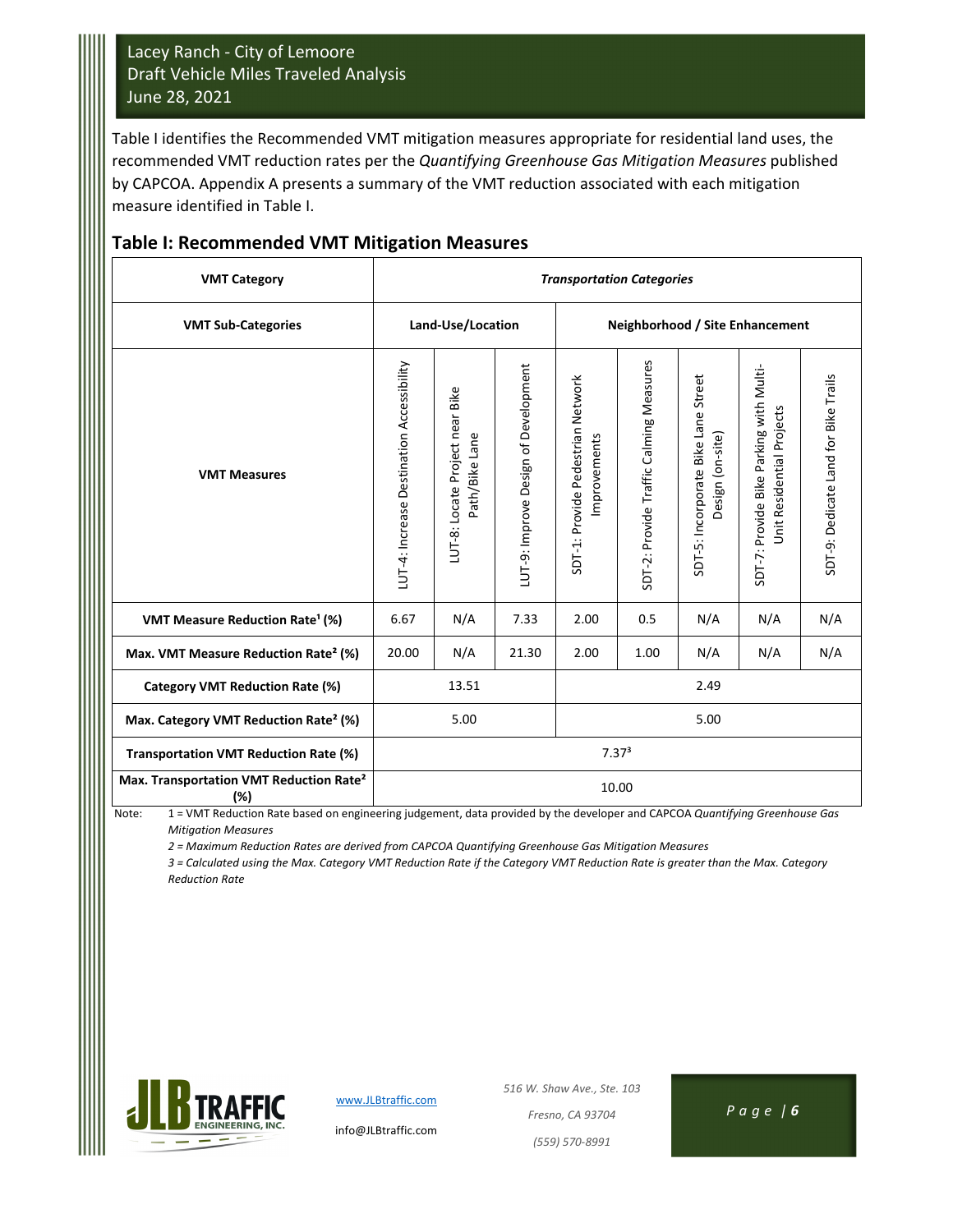Table I identifies the Recommended VMT mitigation measures appropriate for residential land uses, the recommended VMT reduction rates per the *Quantifying Greenhouse Gas Mitigation Measures* published by CAPCOA. Appendix A presents a summary of the VMT reduction associated with each mitigation measure identified in Table I.

| <b>VMT Category</b>                                        | <b>Transportation Categories</b>          |                                                   |                                      |                                                   |                                         |                                                         |                                                                      |                                      |  |
|------------------------------------------------------------|-------------------------------------------|---------------------------------------------------|--------------------------------------|---------------------------------------------------|-----------------------------------------|---------------------------------------------------------|----------------------------------------------------------------------|--------------------------------------|--|
| <b>VMT Sub-Categories</b>                                  |                                           | Land-Use/Location                                 |                                      | Neighborhood / Site Enhancement                   |                                         |                                                         |                                                                      |                                      |  |
| <b>VMT Measures</b>                                        | LUT-4: Increase Destination Accessibility | LUT-8: Locate Project near Bike<br>Path/Bike Lane | LUT-9: Improve Design of Development | SDT-1: Provide Pedestrian Network<br>Improvements | SDT-2: Provide Traffic Calming Measures | SDT-5: Incorporate Bike Lane Street<br>Design (on-site) | SDT-7: Provide Bike Parking with Multi-<br>Unit Residential Projects | SDT-9: Dedicate Land for Bike Trails |  |
| VMT Measure Reduction Rate <sup>1</sup> (%)                | 6.67                                      | N/A                                               | 7.33                                 | 2.00                                              | 0.5                                     | N/A                                                     | N/A                                                                  | N/A                                  |  |
| Max. VMT Measure Reduction Rate <sup>2</sup> (%)           | 20.00                                     | N/A                                               | 21.30                                | 2.00                                              | N/A                                     | N/A                                                     |                                                                      |                                      |  |
| Category VMT Reduction Rate (%)                            |                                           | 13.51                                             |                                      | 2.49                                              |                                         |                                                         |                                                                      |                                      |  |
| Max. Category VMT Reduction Rate <sup>2</sup> (%)          | 5.00<br>5.00                              |                                                   |                                      |                                                   |                                         |                                                         |                                                                      |                                      |  |
| Transportation VMT Reduction Rate (%)                      | 7.37 <sup>3</sup>                         |                                                   |                                      |                                                   |                                         |                                                         |                                                                      |                                      |  |
| Max. Transportation VMT Reduction Rate <sup>2</sup><br>(%) |                                           |                                                   |                                      | 10.00                                             |                                         |                                                         |                                                                      |                                      |  |

#### **Table I: Recommended VMT Mitigation Measures**

Note: 1 = VMT Reduction Rate based on engineering judgement, data provided by the developer and CAPCOA *Quantifying Greenhouse Gas Mitigation Measures*

*2 = Maximum Reduction Rates are derived from CAPCOA Quantifying Greenhouse Gas Mitigation Measures*

3 = Calculated using the Max. Category VMT Reduction Rate if the Category VMT Reduction Rate is greater than the Max. Category  *Reduction Rate*



www.JLBtraffic.com info@JLBtraffic.com *516 W. Shaw Ave., Ste. 103 Fresno, CA 93704 Page | 6 (559) 570‐8991*

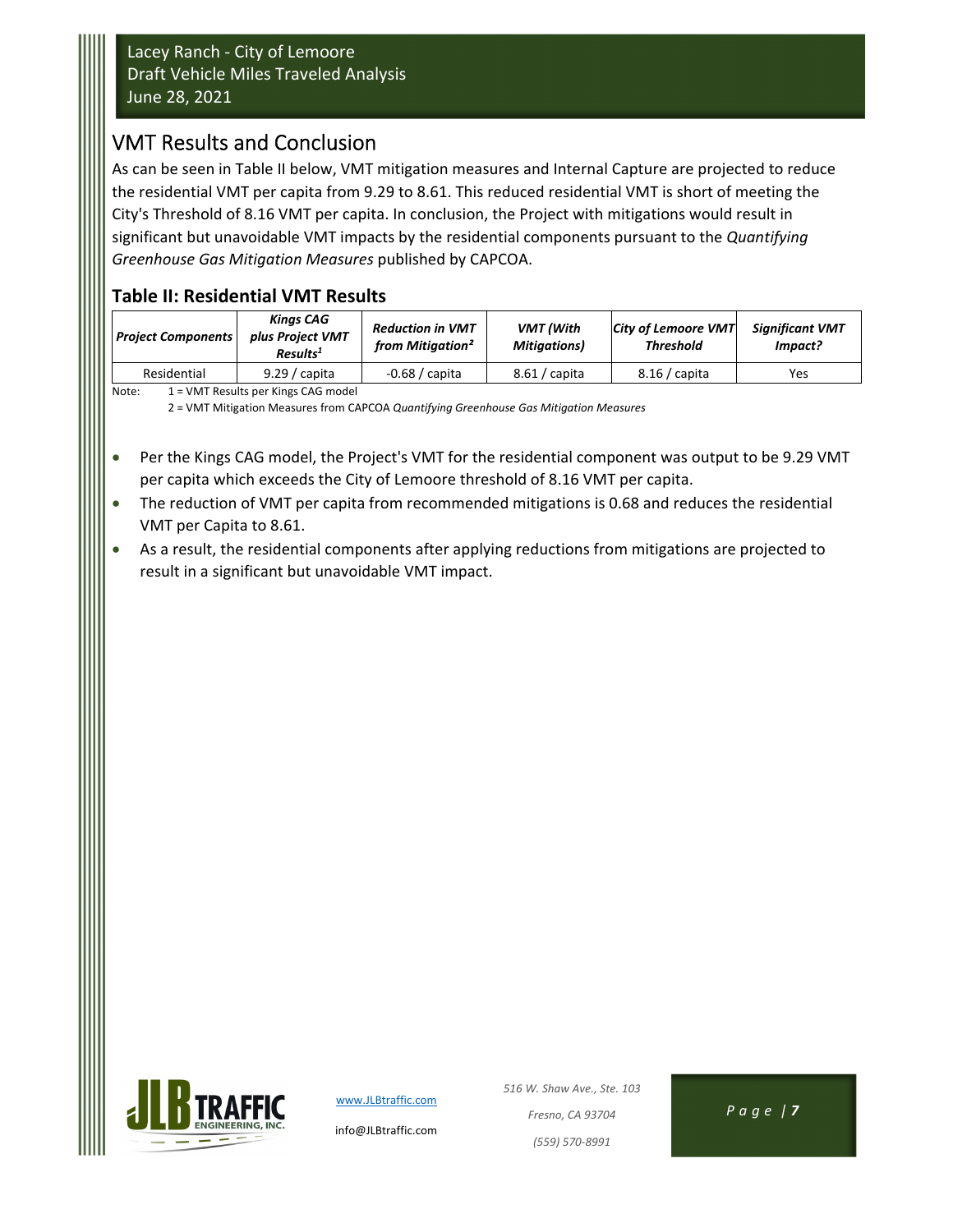### VMT Results and Conclusion

As can be seen in Table II below, VMT mitigation measures and Internal Capture are projected to reduce the residential VMT per capita from 9.29 to 8.61. This reduced residential VMT is short of meeting the City's Threshold of 8.16 VMT per capita. In conclusion, the Project with mitigations would result in significant but unavoidable VMT impacts by the residential components pursuant to the *Quantifying Greenhouse Gas Mitigation Measures* published by CAPCOA.

### **Table II: Residential VMT Results**

| <b>Project Components</b> | <b>Kinas CAG</b><br>plus Project VMT<br>Results <sup>1</sup> | <b>Reduction in VMT</b><br>from Mitigation <sup>2</sup> | <b>VMT</b> (With<br><b>Mitigations</b> ) | <b>City of Lemoore VMT</b><br><b>Threshold</b> | <b>Significant VMT</b><br>Impact? |
|---------------------------|--------------------------------------------------------------|---------------------------------------------------------|------------------------------------------|------------------------------------------------|-----------------------------------|
| Residential               | $9.29 /$ capita                                              | $-0.68/$ capita                                         | $8.61 /$ capita                          | $8.16/$ capita                                 | Yes                               |
| $\cdots$                  |                                                              |                                                         |                                          |                                                |                                   |

Note: 1 = VMT Results per Kings CAG model

2 = VMT Mitigation Measures from CAPCOA *Quantifying Greenhouse Gas Mitigation Measures*

- Per the Kings CAG model, the Project's VMT for the residential component was output to be 9.29 VMT per capita which exceeds the City of Lemoore threshold of 8.16 VMT per capita.
- The reduction of VMT per capita from recommended mitigations is 0.68 and reduces the residential VMT per Capita to 8.61.
- As a result, the residential components after applying reductions from mitigations are projected to result in a significant but unavoidable VMT impact.



www.JLBtraffic.com

info@JLBtraffic.com

*516 W. Shaw Ave., Ste. 103 Fresno, CA 93704 Page | 7 (559) 570‐8991*

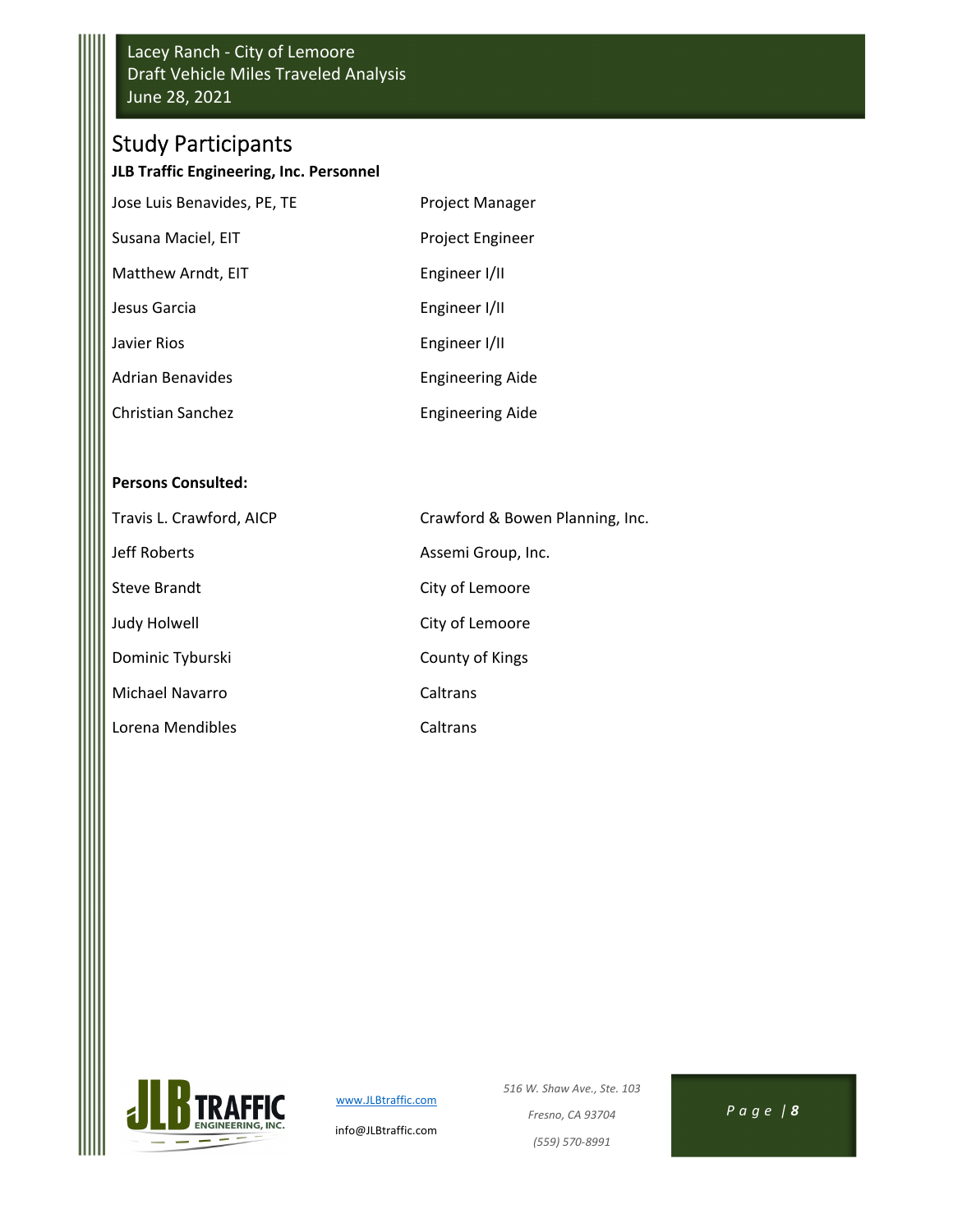# Study Participants

#### **JLB Traffic Engineering, Inc. Personnel**

| Jose Luis Benavides, PE, TE | Project Manager         |
|-----------------------------|-------------------------|
| Susana Maciel, EIT          | Project Engineer        |
| Matthew Arndt, EIT          | Engineer I/II           |
| Jesus Garcia                | Engineer I/II           |
| Javier Rios                 | Engineer I/II           |
| Adrian Benavides            | <b>Engineering Aide</b> |
| Christian Sanchez           | <b>Engineering Aide</b> |

#### **Persons Consulted:**

| Travis L. Crawford, AICP | Crawford & Bowen Planning, Inc. |
|--------------------------|---------------------------------|
| Jeff Roberts             | Assemi Group, Inc.              |
| Steve Brandt             | City of Lemoore                 |
| Judy Holwell             | City of Lemoore                 |
| Dominic Tyburski         | County of Kings                 |
| Michael Navarro          | Caltrans                        |
| Lorena Mendibles         | Caltrans                        |



www.JLBtraffic.com

info@JLBtraffic.com

*516 W. Shaw Ave., Ste. 103 Fresno, CA 93704 Page | 8 (559) 570‐8991*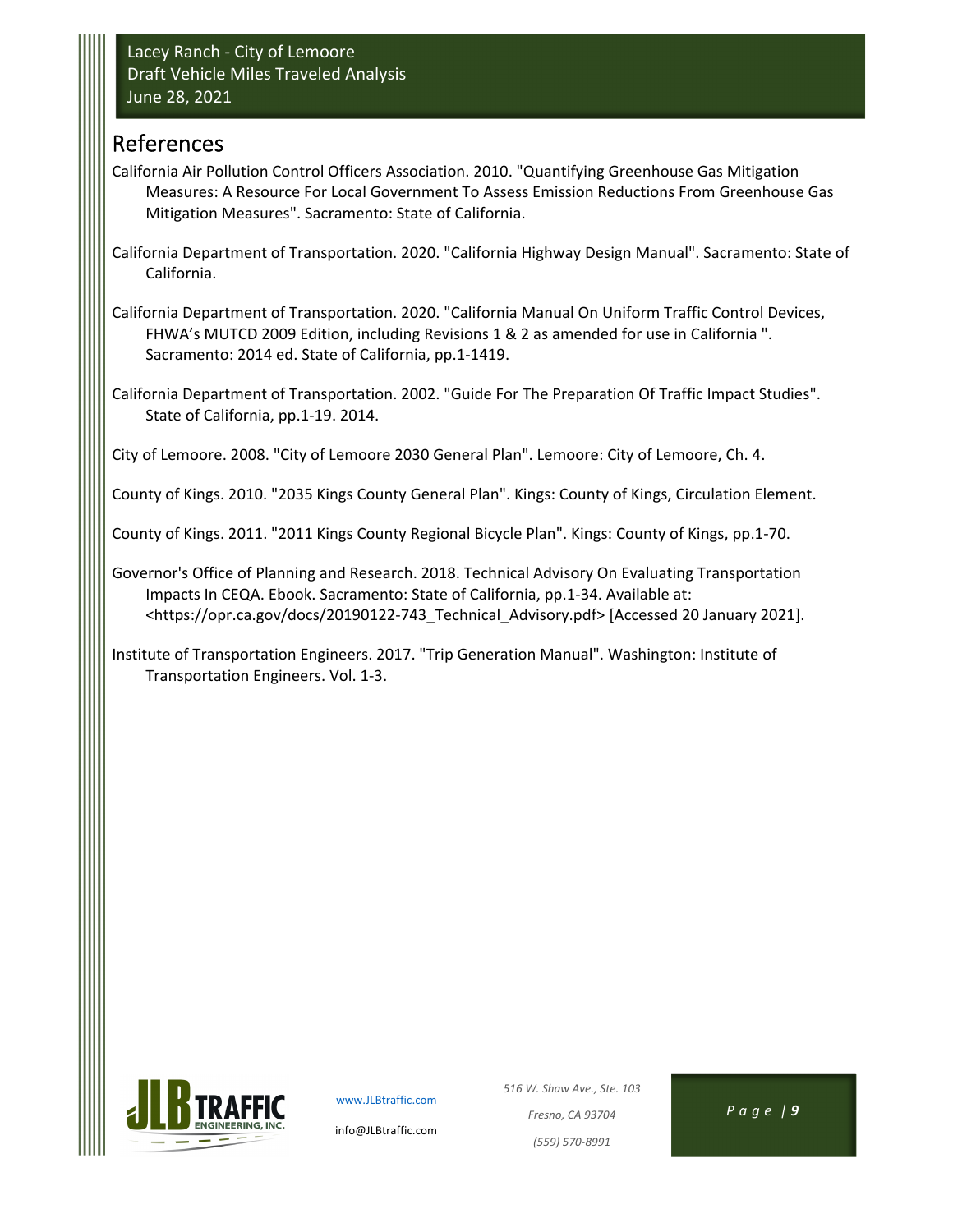### References

- California Air Pollution Control Officers Association. 2010. "Quantifying Greenhouse Gas Mitigation Measures: A Resource For Local Government To Assess Emission Reductions From Greenhouse Gas Mitigation Measures". Sacramento: State of California.
- California Department of Transportation. 2020. "California Highway Design Manual". Sacramento: State of California.

California Department of Transportation. 2020. "California Manual On Uniform Traffic Control Devices, FHWA's MUTCD 2009 Edition, including Revisions 1 & 2 as amended for use in California ". Sacramento: 2014 ed. State of California, pp.1‐1419.

California Department of Transportation. 2002. "Guide For The Preparation Of Traffic Impact Studies". State of California, pp.1‐19. 2014.

City of Lemoore. 2008. "City of Lemoore 2030 General Plan". Lemoore: City of Lemoore, Ch. 4.

County of Kings. 2010. "2035 Kings County General Plan". Kings: County of Kings, Circulation Element.

County of Kings. 2011. "2011 Kings County Regional Bicycle Plan". Kings: County of Kings, pp.1‐70.

Governor's Office of Planning and Research. 2018. Technical Advisory On Evaluating Transportation Impacts In CEQA. Ebook. Sacramento: State of California, pp.1‐34. Available at: <https://opr.ca.gov/docs/20190122‐743\_Technical\_Advisory.pdf> [Accessed 20 January 2021].

Institute of Transportation Engineers. 2017. "Trip Generation Manual". Washington: Institute of Transportation Engineers. Vol. 1‐3.



www.JLBtraffic.com

info@JLBtraffic.com

*516 W. Shaw Ave., Ste. 103 Fresno, CA 93704 Page | 9 (559) 570‐8991*

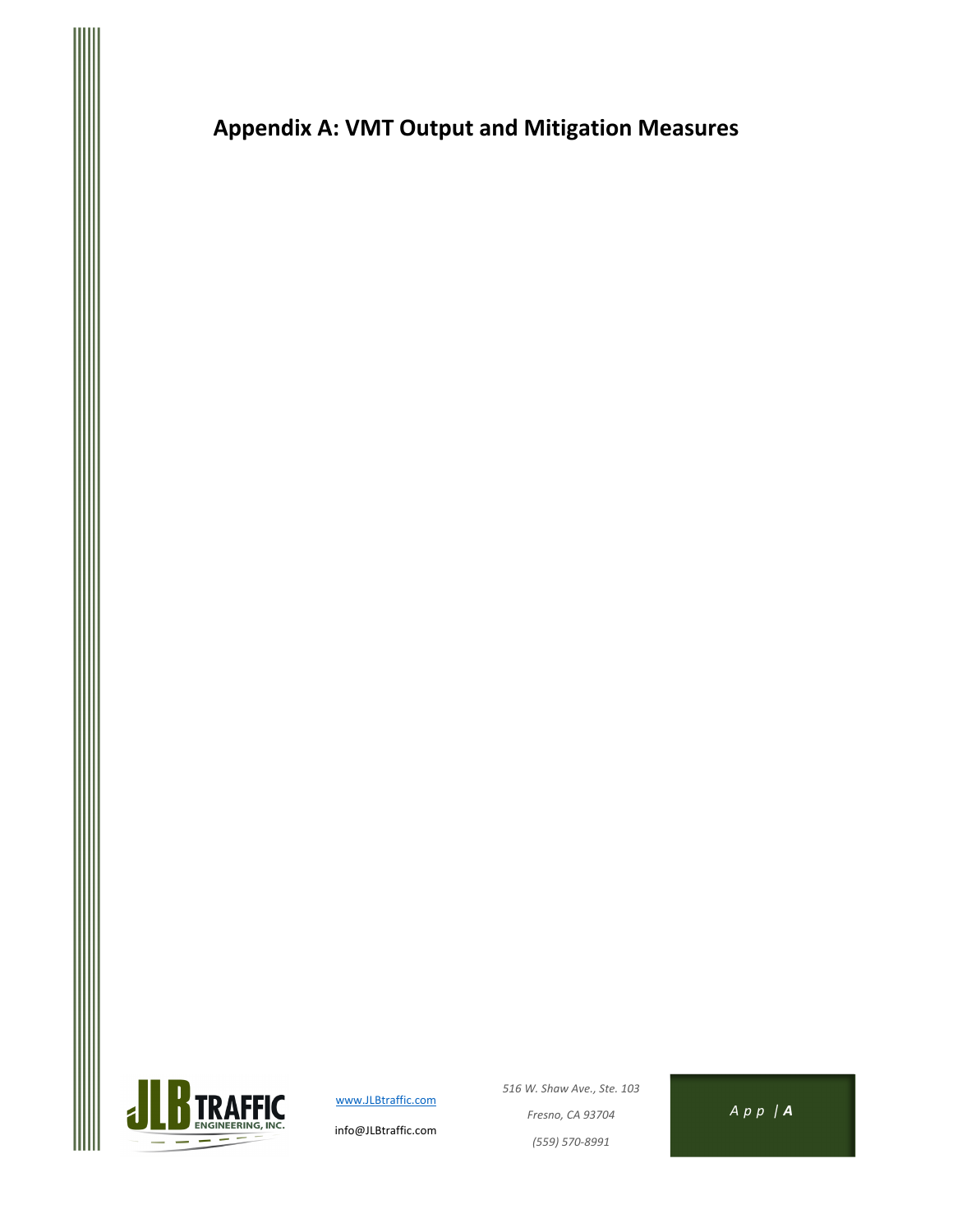**Appendix A: VMT Output and Mitigation Measures**



www.JLBtraffic.com

info@JLBtraffic.com

*516 W. Shaw Ave., Ste. 103 Fresno, CA 93704 A p p | A (559) 570‐8991*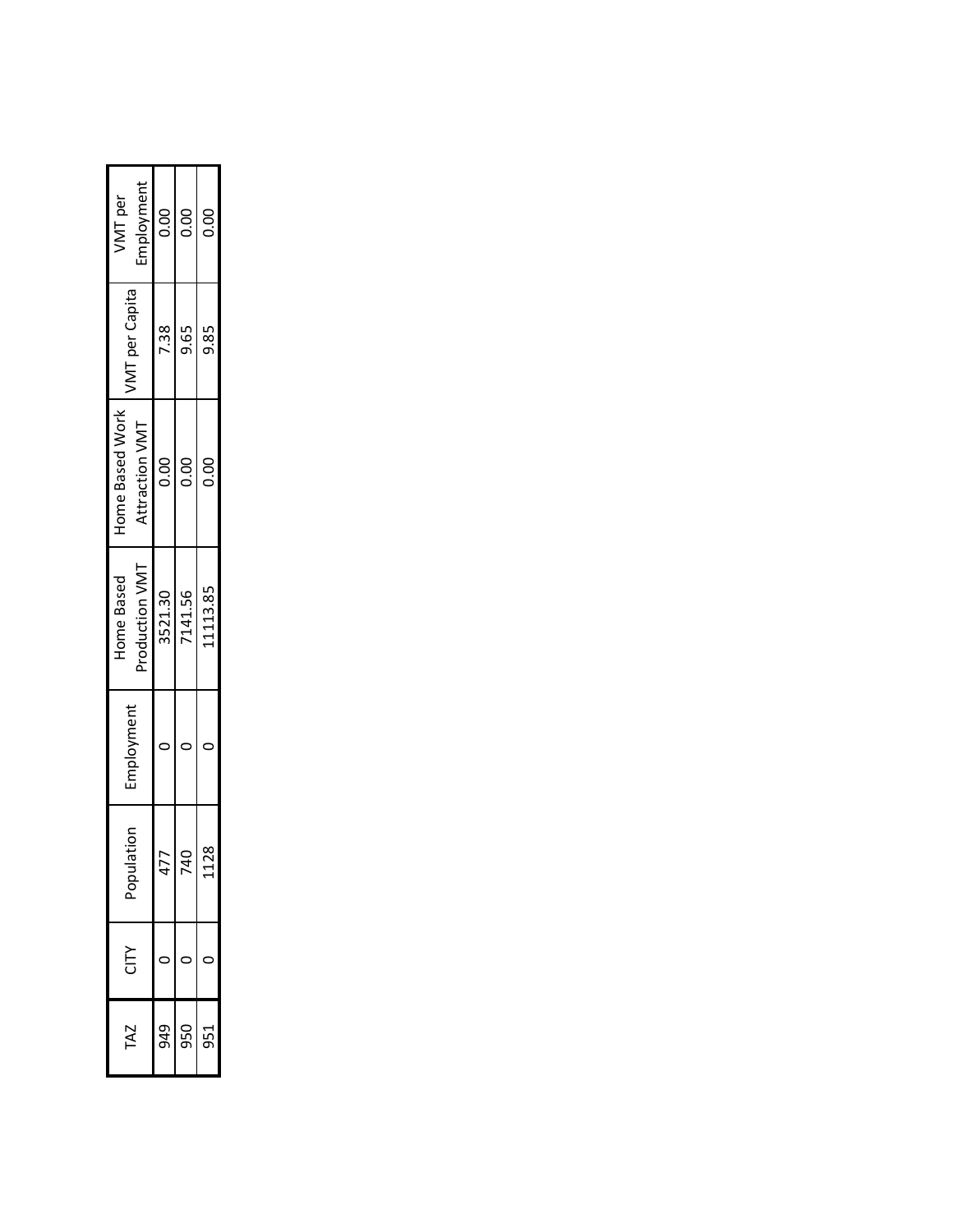| <b>ZN</b> | É |                           |            | Home Based     | Home Based Work |                       | VMT per    |
|-----------|---|---------------------------|------------|----------------|-----------------|-----------------------|------------|
|           |   | ation<br>ndo <sub>c</sub> | Employment | Production VMT | Attraction VMT  | <b>VMT</b> per Capita | Employment |
| 949       |   | ľ                         |            | 3521.30        | 0.00            | 7.38                  | 0.00       |
| 950       |   | ¢                         |            | 7141.56        | $\frac{0}{0}$   | 9.65                  | 0.00       |
|           |   | 28                        |            | 11113.85       | 0.00            | 85<br>9.              | 0.00       |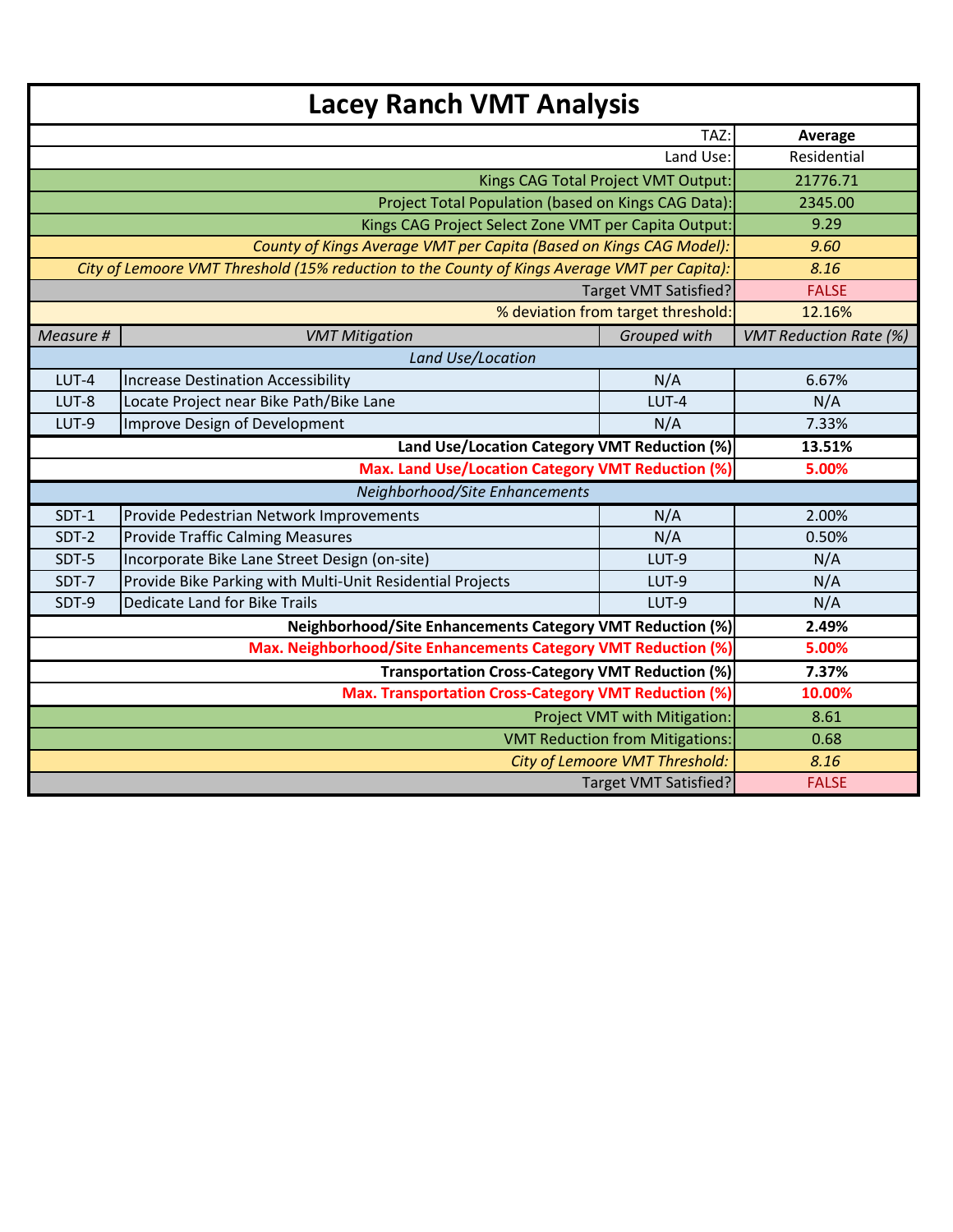|           |                                                                                              | TAZ:                                   | Average                       |
|-----------|----------------------------------------------------------------------------------------------|----------------------------------------|-------------------------------|
|           | Land Use:                                                                                    | Residential                            |                               |
|           |                                                                                              | Kings CAG Total Project VMT Output:    | 21776.71                      |
|           | 2345.00                                                                                      |                                        |                               |
|           | Kings CAG Project Select Zone VMT per Capita Output:                                         | 9.29                                   |                               |
|           | County of Kings Average VMT per Capita (Based on Kings CAG Model):                           |                                        | 9.60                          |
|           | City of Lemoore VMT Threshold (15% reduction to the County of Kings Average VMT per Capita): |                                        | 8.16                          |
|           |                                                                                              | <b>Target VMT Satisfied?</b>           | <b>FALSE</b>                  |
|           |                                                                                              | % deviation from target threshold:     | 12.16%                        |
| Measure # | <b>VMT Mitigation</b>                                                                        | Grouped with                           | <b>VMT Reduction Rate (%)</b> |
|           | Land Use/Location                                                                            |                                        |                               |
| LUT-4     | <b>Increase Destination Accessibility</b>                                                    | N/A                                    | 6.67%                         |
| LUT-8     | Locate Project near Bike Path/Bike Lane<br>Improve Design of Development                     | N/A                                    |                               |
| LUT-9     | 7.33%                                                                                        |                                        |                               |
|           | 13.51%                                                                                       |                                        |                               |
|           | 5.00%                                                                                        |                                        |                               |
|           |                                                                                              |                                        |                               |
| SDT-1     | Provide Pedestrian Network Improvements                                                      | N/A                                    | 2.00%                         |
| SDT-2     | <b>Provide Traffic Calming Measures</b>                                                      | N/A                                    | 0.50%                         |
| SDT-5     | Incorporate Bike Lane Street Design (on-site)                                                | LUT-9                                  | N/A                           |
| SDT-7     | Provide Bike Parking with Multi-Unit Residential Projects                                    | LUT-9                                  | N/A                           |
| SDT-9     | Dedicate Land for Bike Trails                                                                | LUT-9                                  | N/A                           |
|           | <b>Neighborhood/Site Enhancements Category VMT Reduction (%)</b>                             |                                        | 2.49%                         |
|           | Max. Neighborhood/Site Enhancements Category VMT Reduction (%)                               |                                        | 5.00%                         |
|           | <b>Transportation Cross-Category VMT Reduction (%)</b>                                       |                                        | 7.37%                         |
|           | Max. Transportation Cross-Category VMT Reduction (%)                                         |                                        | 10.00%                        |
|           |                                                                                              | Project VMT with Mitigation:           | 8.61                          |
|           |                                                                                              | <b>VMT Reduction from Mitigations:</b> | 0.68                          |
|           |                                                                                              | City of Lemoore VMT Threshold:         | 8.16                          |
|           |                                                                                              | <b>Target VMT Satisfied?</b>           | <b>FALSE</b>                  |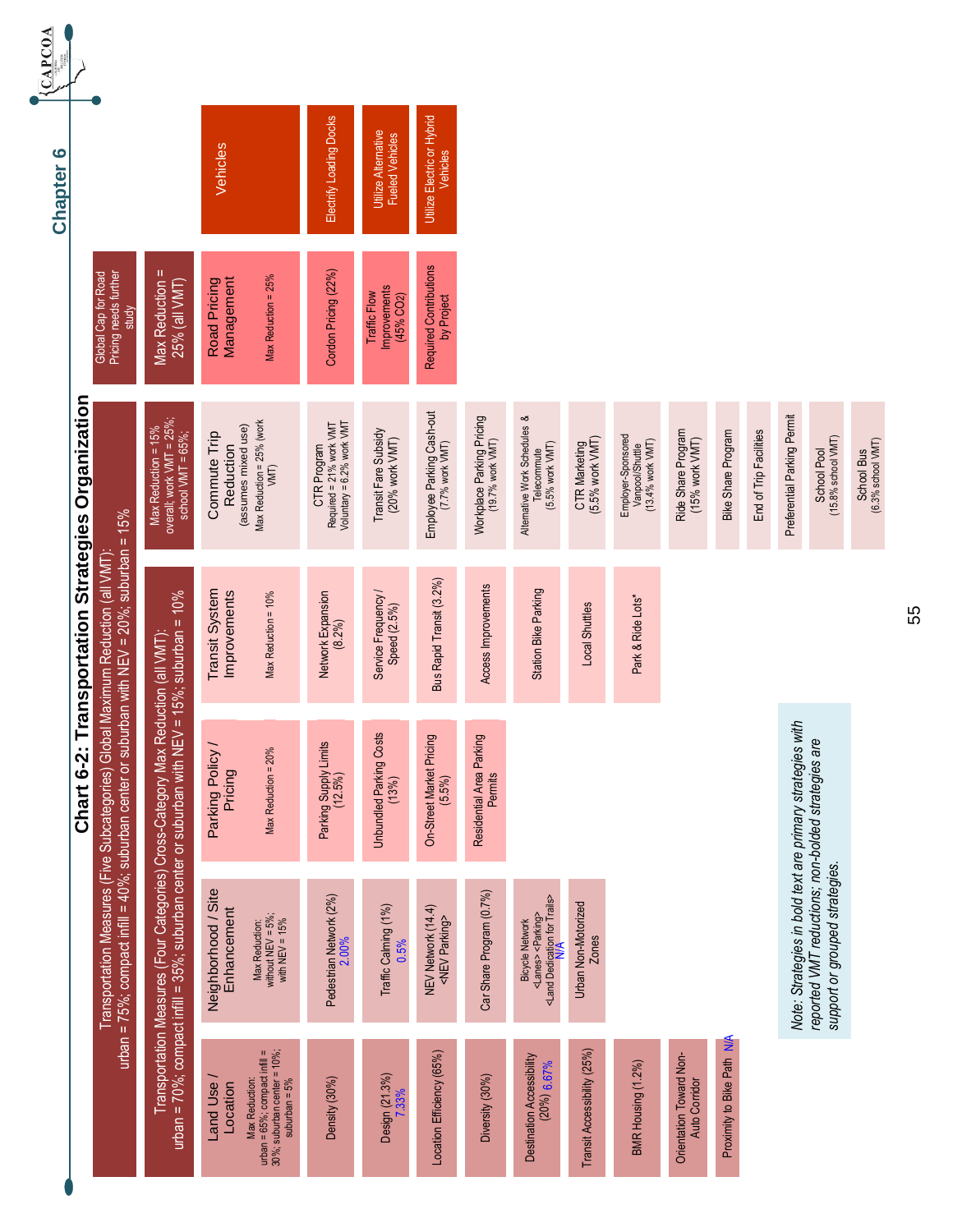| <b>CAPCOA</b><br>$\bullet$<br><b>Chapter</b>                                   |                                                                                               |                                                                                                                                                                  | Vehicles                           |                                                                                                 | Electrify Loading Docks                                             | Utilize Alternative<br><b>Fueled Vehicles</b> | Utilize Electric or Hybrid<br>Vehicles       |                                               |                                                                                                                       |                                     |                                                           |                                                 |                            |                        |                                                           |                                                                                      |                                 |
|--------------------------------------------------------------------------------|-----------------------------------------------------------------------------------------------|------------------------------------------------------------------------------------------------------------------------------------------------------------------|------------------------------------|-------------------------------------------------------------------------------------------------|---------------------------------------------------------------------|-----------------------------------------------|----------------------------------------------|-----------------------------------------------|-----------------------------------------------------------------------------------------------------------------------|-------------------------------------|-----------------------------------------------------------|-------------------------------------------------|----------------------------|------------------------|-----------------------------------------------------------|--------------------------------------------------------------------------------------|---------------------------------|
| Pricing needs further<br>Global Cap for Road                                   | study                                                                                         | Max Reduction =<br>25% (all VMT)                                                                                                                                 | Road Pricing<br>Management         | Max Reduction = 25%                                                                             | Cordon Pricing (22%)                                                | Improvements<br>Traffic Flow<br>(45% CO2)     | Required Contributions<br>by Project         |                                               |                                                                                                                       |                                     |                                                           |                                                 |                            |                        |                                                           |                                                                                      |                                 |
| nsportation Strategies Organization                                            |                                                                                               | overall; work $VMT = 25\%$ ;<br>Max Reduction = 15%<br>school $VMT = 65\%$ ;                                                                                     | Commute Trip<br>Reduction          | Max Reduction = 25% (work<br>VMT)<br>(assumes mixed use)                                        | Required = 21% work VMT<br>Voluntary = 6.2% work VMT<br>CTR Program | Transit Fare Subsidy<br>(20% work VMT)        | Employee Parking Cash-out<br>(7.7% work VMT) | Workplace Parking Pricing<br>(19.7% work VMT) | Alternative Work Schedules &<br>(5.5% work VMT)<br>Telecommute                                                        | CTR Marketing<br>(5.5% work VMT)    | Employer-Sponsored<br>Vanpool/Shuttle<br>(13.4% work VMT) | Ride Share Program<br>(15% work VMT)            | Bike Share Program         | End of Trip Facilities | Preferential Parking Permit                               | School Pool<br>(15.8% school VMT)                                                    | (6.3% school VMT)<br>School Bus |
|                                                                                |                                                                                               | $5\%$ ; suburban = $10\%$                                                                                                                                        | Transit System<br>Improvements     | Max Reduction = 10%                                                                             | Network Expansion<br>(8.2%)                                         | Service Frequency /<br>Speed (2.5%)           | Bus Rapid Transit (3.2%)                     | Access Improvements                           | Station Bike Parking                                                                                                  | Local Shuttles                      | Park & Ride Lots*                                         |                                                 |                            |                        |                                                           |                                                                                      |                                 |
| Chart 6-2: Tra                                                                 |                                                                                               |                                                                                                                                                                  | Parking Policy /<br>Pricing        | Max Reduction = 20%                                                                             | Parking Supply Limits<br>(12.5%)                                    | <b>Unbundled Parking Costs</b><br>(13%)       | On-Street Market Pricing<br>(5.5%)           | Residential Area Parking<br>Permits           |                                                                                                                       |                                     |                                                           |                                                 |                            |                        |                                                           |                                                                                      |                                 |
| Transportation Measures (Five Subcategories) Global Maximum Reduction (all VMT | urban = 75%; compact infill = 40%; suburban center or suburban with NEV = 20%; suburban = 15% | Transportation Measures (Four Categories) Cross-Category Max Reduction (all VMT):<br>urban = 70%; compact infill = 35%; suburban center or suburban with NEV = 1 | Neighborhood / Site<br>Enhancement | without NEV = $5\%$ ;<br>with NEV = $15\%$<br>Max Reduction:                                    | Pedestrian Network (2%)<br>2.00%                                    | Traffic Calming (1%)<br>0.5%                  | NEV Network (14.4)<br><nev parking=""></nev> | Car Share Program (0.7%)                      | <lanés> <parking><br/><land dedication="" for="" trails=""><br/>∨<br/><b>Bicycle Network</b></land></parking></lanés> | Urban Non-Motorized<br><b>Zones</b> |                                                           |                                                 |                            |                        | Note: Strategies in bold text are primary strategies with | reported VMT reductions; non-bolded strategies are<br>support or grouped strategies. |                                 |
|                                                                                |                                                                                               |                                                                                                                                                                  | Land Use<br>Location               | urban = 65%, compact infill =<br>30%, suburban center = 10%;<br>suburban = 5%<br>Max Reduction: | Density (30%)                                                       | Design (21.3%)<br>7.33%                       | Location Efficiency (65%)                    | Diversity (30%)                               | Destination Accessibility<br>$(20\%) 6.67\%$                                                                          | Transit Accessibility (25%)         | BMR Housing (1.2%)                                        | Orientation Toward Non-<br><b>Auto Corridor</b> | Proximity to Bike Path N/A |                        |                                                           |                                                                                      |                                 |

55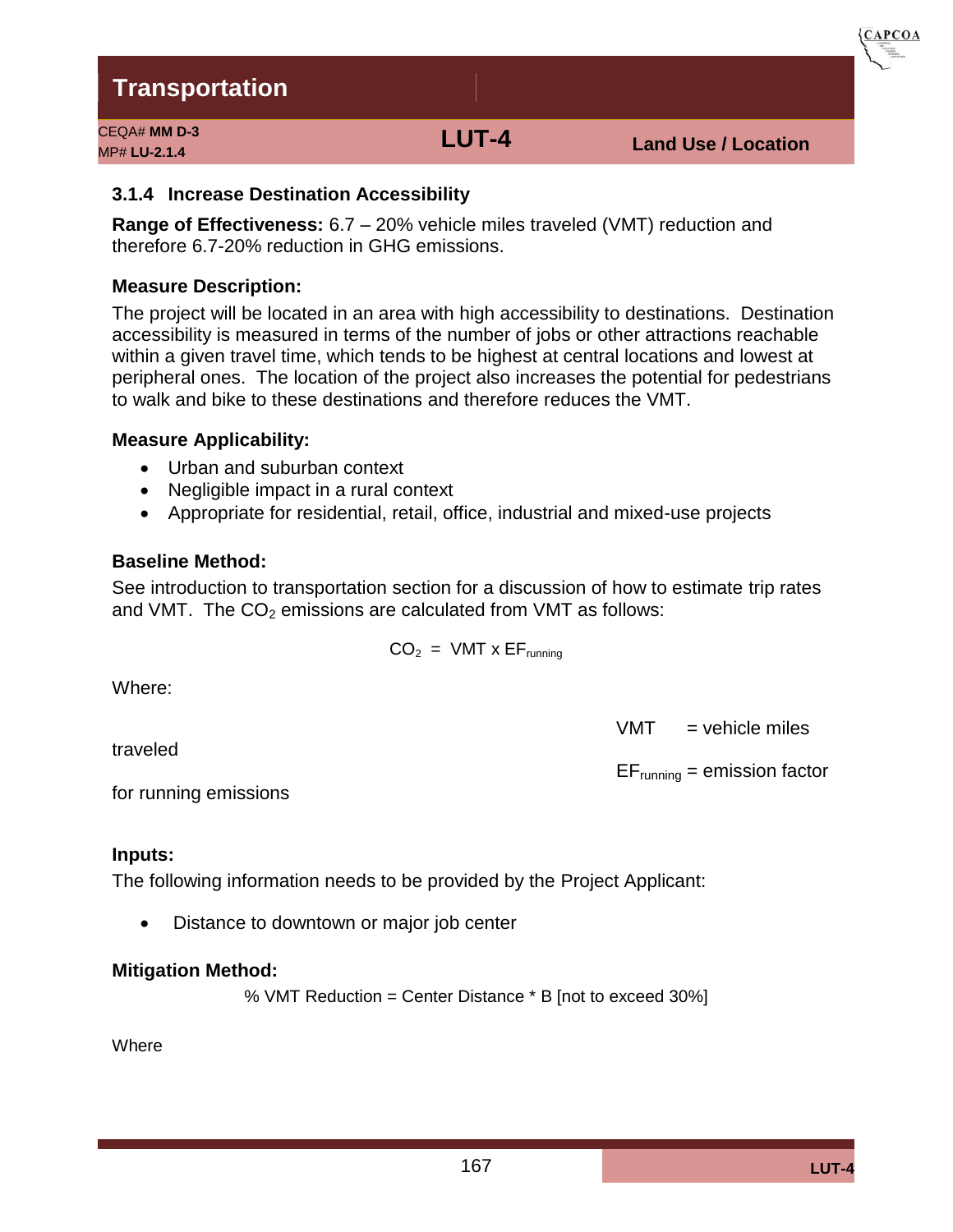CEQA# **MM D-3**

See introduction to transportation section for a discussion of how to estimate trip rates and VMT. The  $CO<sub>2</sub>$  emissions are calculated from VMT as follows:

 $CO<sub>2</sub> = VMT \times EF<sub>running</sub>$ 

Where:

traveled

for running emissions

#### **Inputs:**

The following information needs to be provided by the Project Applicant:

• Distance to downtown or major job center

#### **Mitigation Method:**

% VMT Reduction = Center Distance \* B [not to exceed 30%]

Where

#### The project will be located in an area with high accessibility to destinations. Destination accessibility is measured in terms of the number of jobs or other attractions reachable within a given travel time, which tends to be highest at central locations and lowest at peripheral ones. The location of the project also increases the potential for pedestrians to walk and bike to these destinations and therefore reduces the VMT.

**Range of Effectiveness:** 6.7 – 20% vehicle miles traveled (VMT) reduction and therefore 6.7-20% reduction in GHG emissions.

**Measure Description:** 

### **Measure Applicability:**

- Urban and suburban context
- Negligible impact in a rural context
- Appropriate for residential, retail, office, industrial and mixed-use projects

#### **Baseline Method:**

# $VMT$  = vehicle miles

 $EF_{running} =$  emission factor



**3.1.4 Increase Destination Accessibility**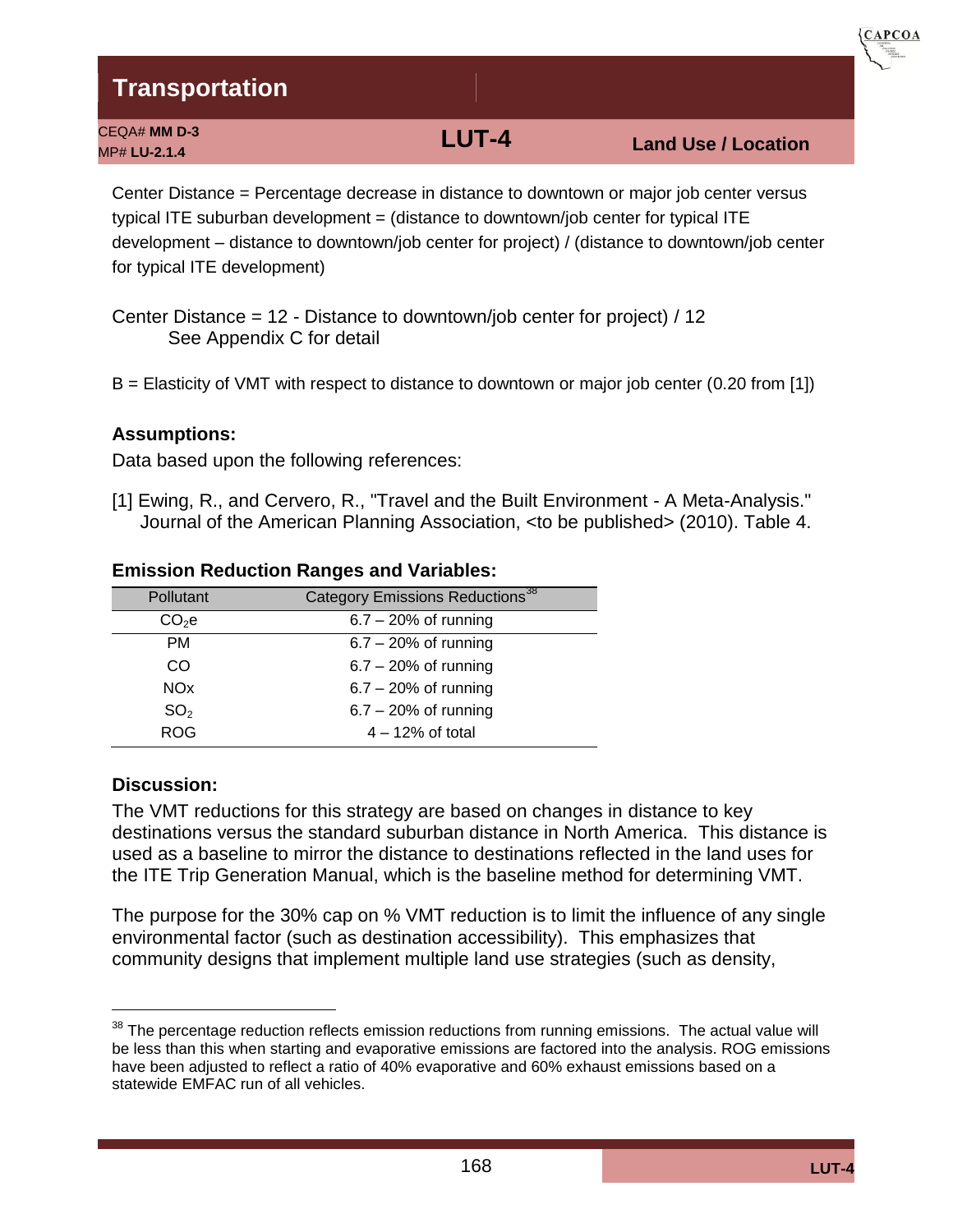| CEQA# MM D-3<br>MP# LU-2.1.4 | LUT-4 | <b>Land Use / Location</b> |
|------------------------------|-------|----------------------------|
|                              |       |                            |

Center Distance = Percentage decrease in distance to downtown or major job center versus typical ITE suburban development = (distance to downtown/job center for typical ITE development – distance to downtown/job center for project) / (distance to downtown/job center for typical ITE development)

Center Distance = 12 - Distance to downtown/job center for project) / 12 See Appendix C for detail

B = Elasticity of VMT with respect to distance to downtown or major job center (0.20 from [1])

#### **Assumptions:**

Data based upon the following references:

[1] Ewing, R., and Cervero, R., "Travel and the Built Environment - A Meta-Analysis." Journal of the American Planning Association, <to be published> (2010). Table 4.

| Pollutant             | Category Emissions Reductions <sup>38</sup> |
|-----------------------|---------------------------------------------|
| CO <sub>2</sub> e     | $6.7 - 20%$ of running                      |
| <b>PM</b>             | $6.7 - 20\%$ of running                     |
| CO                    | $6.7 - 20%$ of running                      |
| <b>NO<sub>x</sub></b> | $6.7 - 20%$ of running                      |
| SO <sub>2</sub>       | $6.7 - 20%$ of running                      |
| <b>ROG</b>            | $4 - 12\%$ of total                         |

#### **Emission Reduction Ranges and Variables:**

#### **Discussion:**

The VMT reductions for this strategy are based on changes in distance to key destinations versus the standard suburban distance in North America. This distance is used as a baseline to mirror the distance to destinations reflected in the land uses for the ITE Trip Generation Manual, which is the baseline method for determining VMT.

The purpose for the 30% cap on % VMT reduction is to limit the influence of any single environmental factor (such as destination accessibility). This emphasizes that community designs that implement multiple land use strategies (such as density,

**CAPCOA** 

 $38$  The percentage reduction reflects emission reductions from running emissions. The actual value will be less than this when starting and evaporative emissions are factored into the analysis. ROG emissions have been adjusted to reflect a ratio of 40% evaporative and 60% exhaust emissions based on a statewide EMFAC run of all vehicles.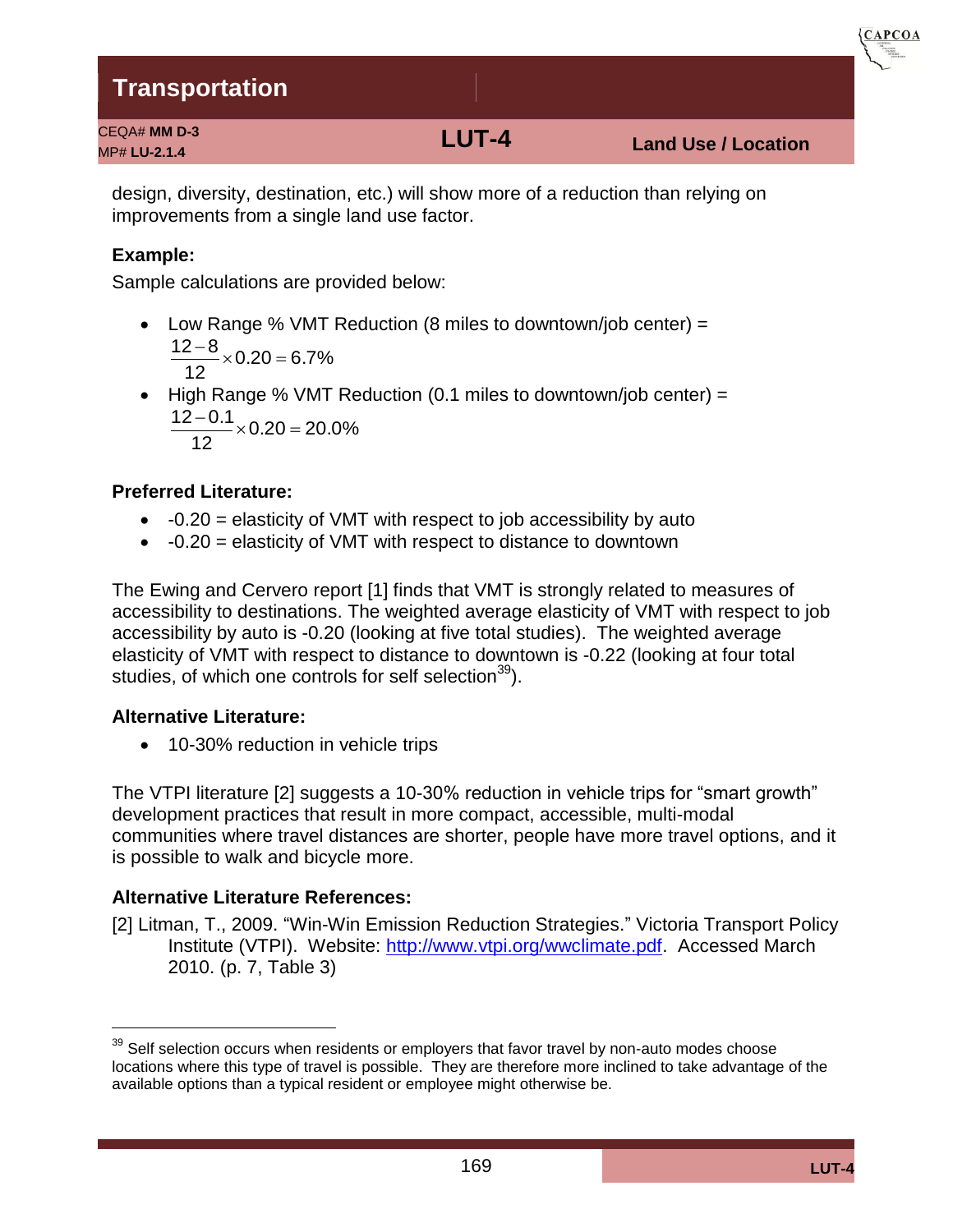CEQA# **MM D-3**

MP# **LU-2.1.4 LUT-4 Land Use / Location**

**CAPCOA** 

design, diversity, destination, etc.) will show more of a reduction than relying on improvements from a single land use factor.

### **Example:**

Sample calculations are provided below:

- Low Range % VMT Reduction (8 miles to downtown/job center) =  $0.20 = 6.7\%$ 12  $\frac{12-8}{12}$  × 0.20 =
- $\bullet$  High Range % VMT Reduction (0.1 miles to downtown/job center) =  $0.20 = 20.0\%$ 12  $\frac{12 - 0.1}{10} \times 0.20 =$

### **Preferred Literature:**

- $\bullet$  -0.20 = elasticity of VMT with respect to job accessibility by auto
- $\bullet$  -0.20 = elasticity of VMT with respect to distance to downtown

The Ewing and Cervero report [1] finds that VMT is strongly related to measures of accessibility to destinations. The weighted average elasticity of VMT with respect to job accessibility by auto is -0.20 (looking at five total studies). The weighted average elasticity of VMT with respect to distance to downtown is -0.22 (looking at four total studies, of which one controls for self selection $39$ ).

### **Alternative Literature:**

• 10-30% reduction in vehicle trips

The VTPI literature [2] suggests a 10-30% reduction in vehicle trips for "smart growth" development practices that result in more compact, accessible, multi-modal communities where travel distances are shorter, people have more travel options, and it is possible to walk and bicycle more.

### **Alternative Literature References:**

[2] Litman, T., 2009. "Win-Win Emission Reduction Strategies." Victoria Transport Policy Institute (VTPI). Website: [http://www.vtpi.org/wwclimate.pdf.](http://www.vtpi.org/wwclimate.pdf) Accessed March 2010. (p. 7, Table 3)

 $39$  Self selection occurs when residents or employers that favor travel by non-auto modes choose locations where this type of travel is possible. They are therefore more inclined to take advantage of the available options than a typical resident or employee might otherwise be.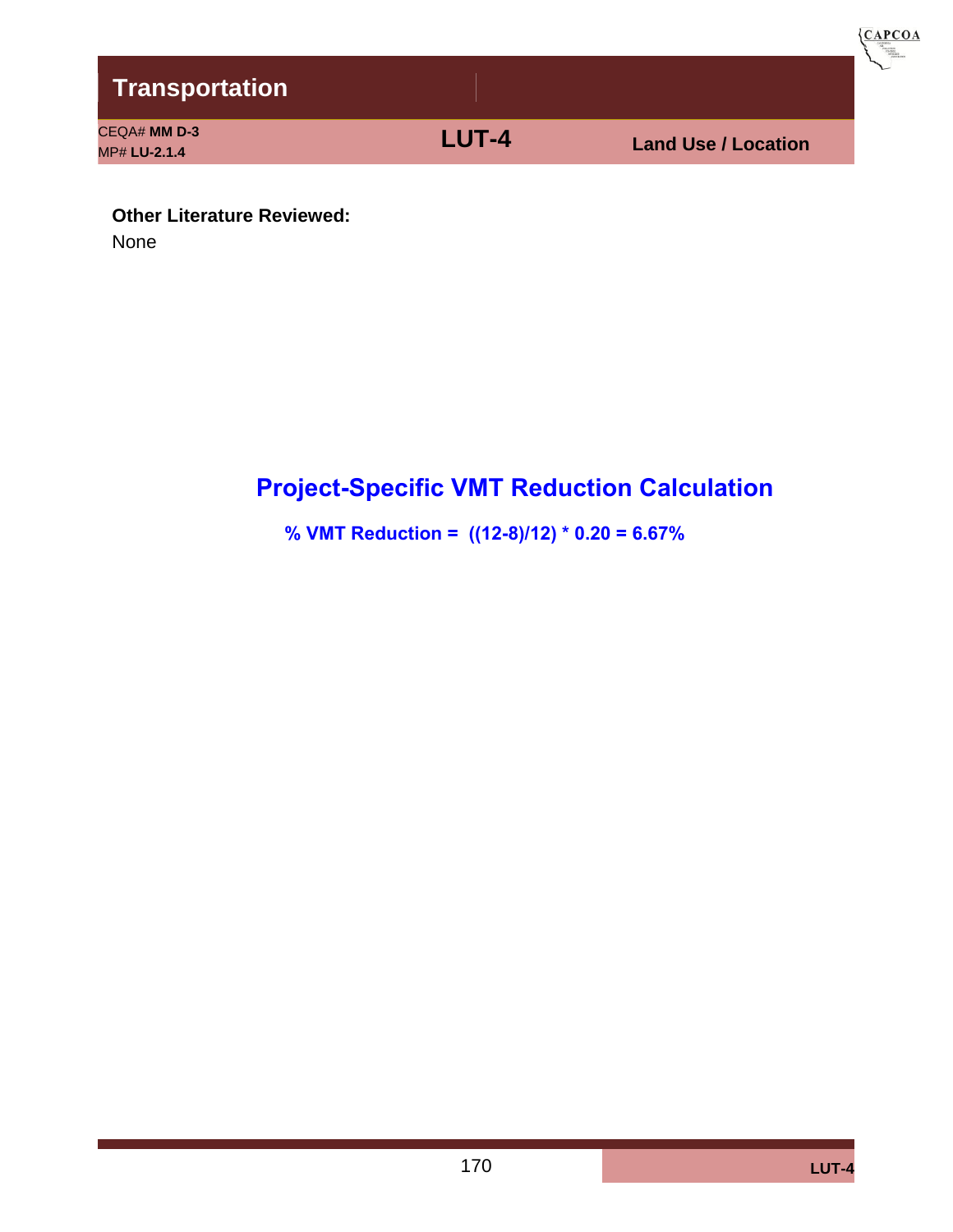

**Other Literature Reviewed:** 

None

# **Project-Specific VMT Reduction Calculation**

**% VMT Reduction = ((12-8)/12) \* 0.20 = 6.67%**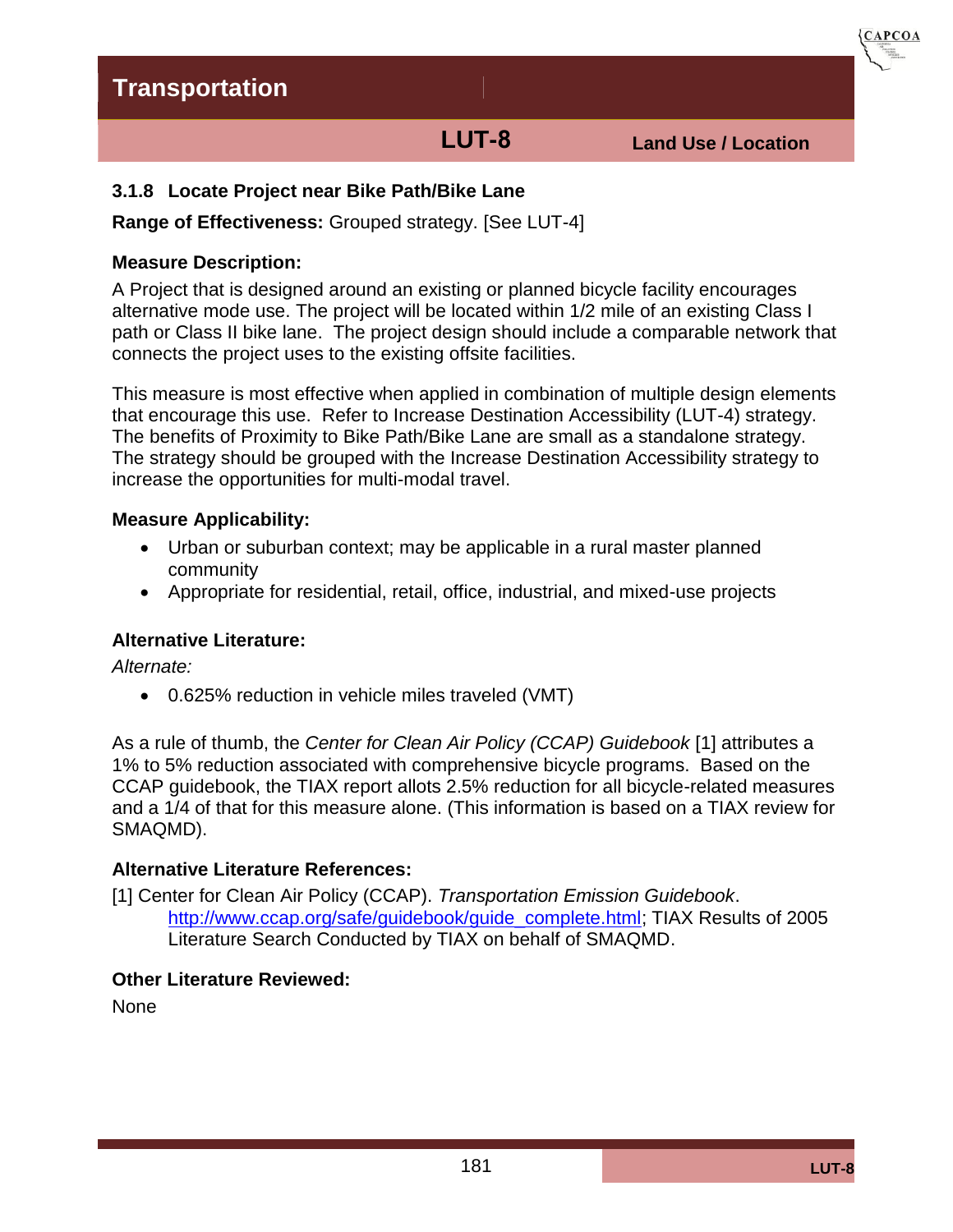**LUT-8 Land Use / Location**

**CAPCOA** 

### **3.1.8 Locate Project near Bike Path/Bike Lane**

**Range of Effectiveness:** Grouped strategy. [See LUT-4]

#### **Measure Description:**

A Project that is designed around an existing or planned bicycle facility encourages alternative mode use. The project will be located within 1/2 mile of an existing Class I path or Class II bike lane. The project design should include a comparable network that connects the project uses to the existing offsite facilities.

This measure is most effective when applied in combination of multiple design elements that encourage this use. Refer to Increase Destination Accessibility (LUT-4) strategy. The benefits of Proximity to Bike Path/Bike Lane are small as a standalone strategy. The strategy should be grouped with the Increase Destination Accessibility strategy to increase the opportunities for multi-modal travel.

#### **Measure Applicability:**

- Urban or suburban context; may be applicable in a rural master planned community
- Appropriate for residential, retail, office, industrial, and mixed-use projects

### **Alternative Literature:**

*Alternate:* 

0.625% reduction in vehicle miles traveled (VMT)

As a rule of thumb, the *Center for Clean Air Policy (CCAP) Guidebook* [1] attributes a 1% to 5% reduction associated with comprehensive bicycle programs. Based on the CCAP guidebook, the TIAX report allots 2.5% reduction for all bicycle-related measures and a 1/4 of that for this measure alone. (This information is based on a TIAX review for SMAQMD).

### **Alternative Literature References:**

[1] Center for Clean Air Policy (CCAP). *Transportation Emission Guidebook*. [http://www.ccap.org/safe/guidebook/guide\\_complete.html;](http://www.ccap.org/safe/guidebook/guide_complete.html) TIAX Results of 2005 Literature Search Conducted by TIAX on behalf of SMAQMD.

#### **Other Literature Reviewed:**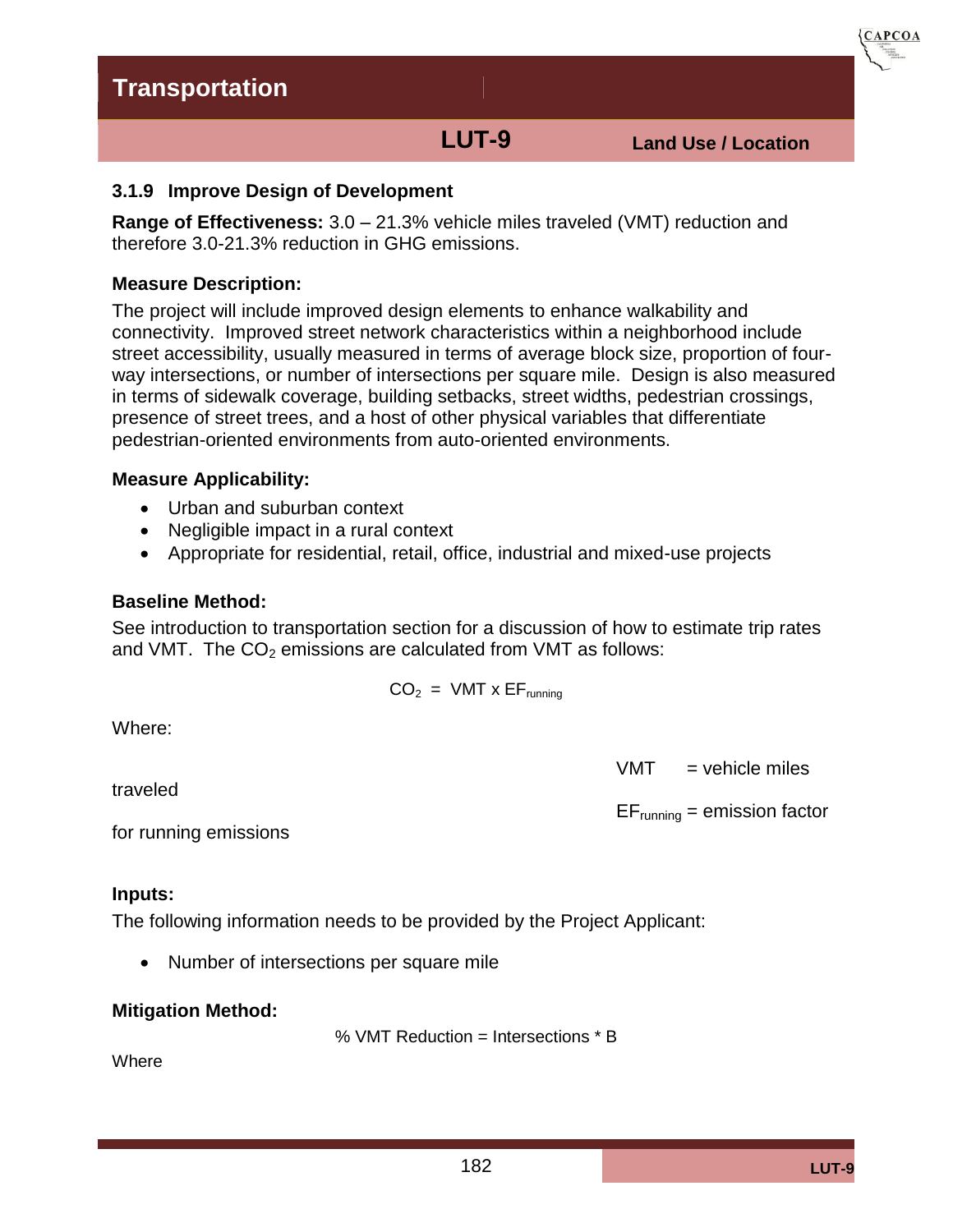**LUT-9 Land Use / Location**

**CAPCOA** 

#### **3.1.9 Improve Design of Development**

**Range of Effectiveness:** 3.0 – 21.3% vehicle miles traveled (VMT) reduction and therefore 3.0-21.3% reduction in GHG emissions.

#### **Measure Description:**

The project will include improved design elements to enhance walkability and connectivity. Improved street network characteristics within a neighborhood include street accessibility, usually measured in terms of average block size, proportion of fourway intersections, or number of intersections per square mile. Design is also measured in terms of sidewalk coverage, building setbacks, street widths, pedestrian crossings, presence of street trees, and a host of other physical variables that differentiate pedestrian-oriented environments from auto-oriented environments.

#### **Measure Applicability:**

- Urban and suburban context
- Negligible impact in a rural context
- Appropriate for residential, retail, office, industrial and mixed-use projects

#### **Baseline Method:**

See introduction to transportation section for a discussion of how to estimate trip rates and VMT. The  $CO<sub>2</sub>$  emissions are calculated from VMT as follows:

$$
CO_2 = VMT \times EF_{running}
$$

Where:

traveled

 $VMT$  = vehicle miles

 $EF_{running} =$  emission factor

for running emissions

#### **Inputs:**

The following information needs to be provided by the Project Applicant:

• Number of intersections per square mile

#### **Mitigation Method:**

% VMT Reduction = Intersections \* B

**Where**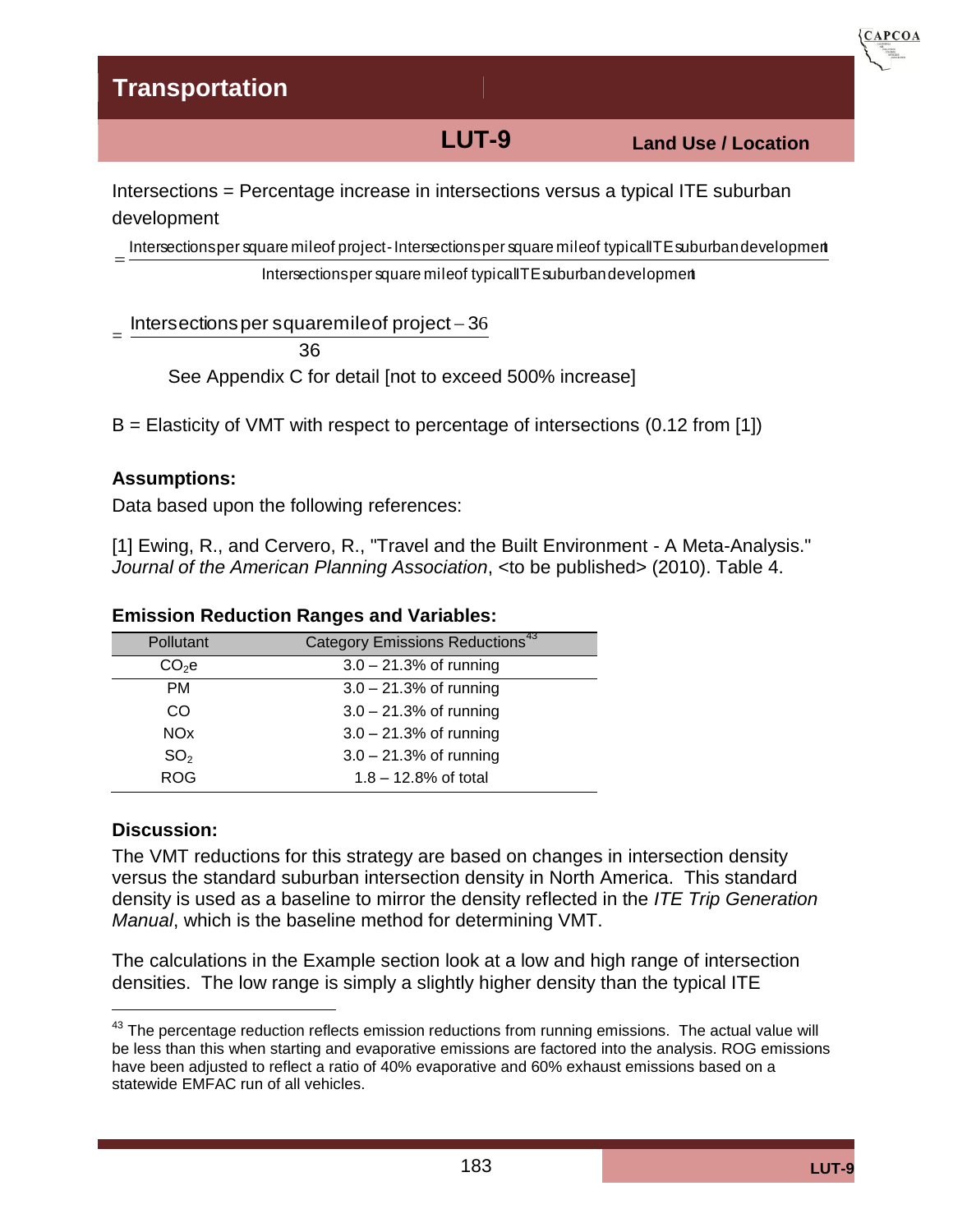**LUT-9 Land Use / Location**

**CAPCOA** 

Intersections = Percentage increase in intersections versus a typical ITE suburban development Intersectionsper military concluded the suburban ITE suburban ITE suburban Intersectionsper square mile of typical TTE suburban development Intersections = Percentage increase in intersections versus a typical ITE suburban<br>
Intersectionsper square mile of project - Intersectionsper square mile of typical TE suburban development<br>
Intersectionsper square mile of

 $=$ 

= Intersections per square mile of project  $-36$ 

36

See Appendix C for detail [not to exceed 500% increase]

B = Elasticity of VMT with respect to percentage of intersections (0.12 from [1])

#### **Assumptions:**

Data based upon the following references:

[1] Ewing, R., and Cervero, R., "Travel and the Built Environment - A Meta-Analysis." *Journal of the American Planning Association*, <to be published> (2010). Table 4.

| Pollutant             | Category Emissions Reductions <sup>43</sup> |
|-----------------------|---------------------------------------------|
| CO <sub>2</sub> e     | $3.0 - 21.3%$ of running                    |
| <b>PM</b>             | $3.0 - 21.3%$ of running                    |
| CO.                   | $3.0 - 21.3%$ of running                    |
| <b>NO<sub>x</sub></b> | $3.0 - 21.3%$ of running                    |
| SO <sub>2</sub>       | $3.0 - 21.3%$ of running                    |
| <b>ROG</b>            | $1.8 - 12.8%$ of total                      |

#### **Emission Reduction Ranges and Variables:**

#### **Discussion:**

The VMT reductions for this strategy are based on changes in intersection density versus the standard suburban intersection density in North America. This standard density is used as a baseline to mirror the density reflected in the *ITE Trip Generation Manual*, which is the baseline method for determining VMT.

The calculations in the Example section look at a low and high range of intersection densities. The low range is simply a slightly higher density than the typical ITE

 $^{43}$  The percentage reduction reflects emission reductions from running emissions. The actual value will be less than this when starting and evaporative emissions are factored into the analysis. ROG emissions have been adjusted to reflect a ratio of 40% evaporative and 60% exhaust emissions based on a statewide EMFAC run of all vehicles.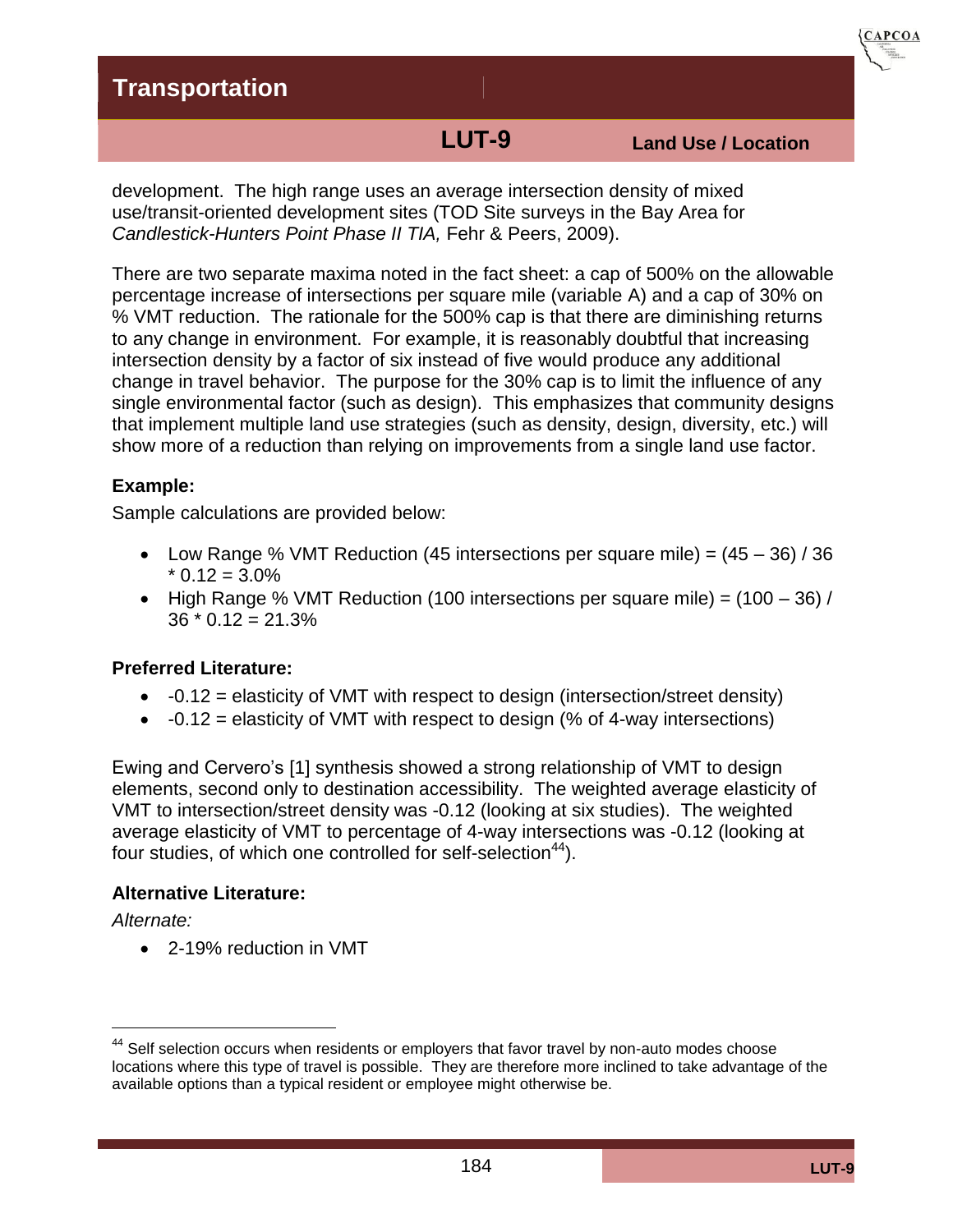**LUT-9 Land Use / Location**

**CAPCOA** 

development. The high range uses an average intersection density of mixed use/transit-oriented development sites (TOD Site surveys in the Bay Area for *Candlestick-Hunters Point Phase II TIA,* Fehr & Peers, 2009).

There are two separate maxima noted in the fact sheet: a cap of 500% on the allowable percentage increase of intersections per square mile (variable A) and a cap of 30% on % VMT reduction. The rationale for the 500% cap is that there are diminishing returns to any change in environment. For example, it is reasonably doubtful that increasing intersection density by a factor of six instead of five would produce any additional change in travel behavior. The purpose for the 30% cap is to limit the influence of any single environmental factor (such as design). This emphasizes that community designs that implement multiple land use strategies (such as density, design, diversity, etc.) will show more of a reduction than relying on improvements from a single land use factor.

### **Example:**

Sample calculations are provided below:

- Low Range % VMT Reduction (45 intersections per square mile) =  $(45 36) / 36$  $*$  0.12 = 3.0%
- High Range % VMT Reduction (100 intersections per square mile) =  $(100 36)$  /  $36 * 0.12 = 21.3%$

#### **Preferred Literature:**

- $\bullet$  -0.12 = elasticity of VMT with respect to design (intersection/street density)
- $\bullet$  -0.12 = elasticity of VMT with respect to design (% of 4-way intersections)

Ewing and Cervero's [1] synthesis showed a strong relationship of VMT to design elements, second only to destination accessibility. The weighted average elasticity of VMT to intersection/street density was -0.12 (looking at six studies). The weighted average elasticity of VMT to percentage of 4-way intersections was -0.12 (looking at four studies, of which one controlled for self-selection<sup>44</sup>).

#### **Alternative Literature:**

*Alternate:* 

2-19% reduction in VMT

<sup>&</sup>lt;sup>44</sup> Self selection occurs when residents or employers that favor travel by non-auto modes choose locations where this type of travel is possible. They are therefore more inclined to take advantage of the available options than a typical resident or employee might otherwise be.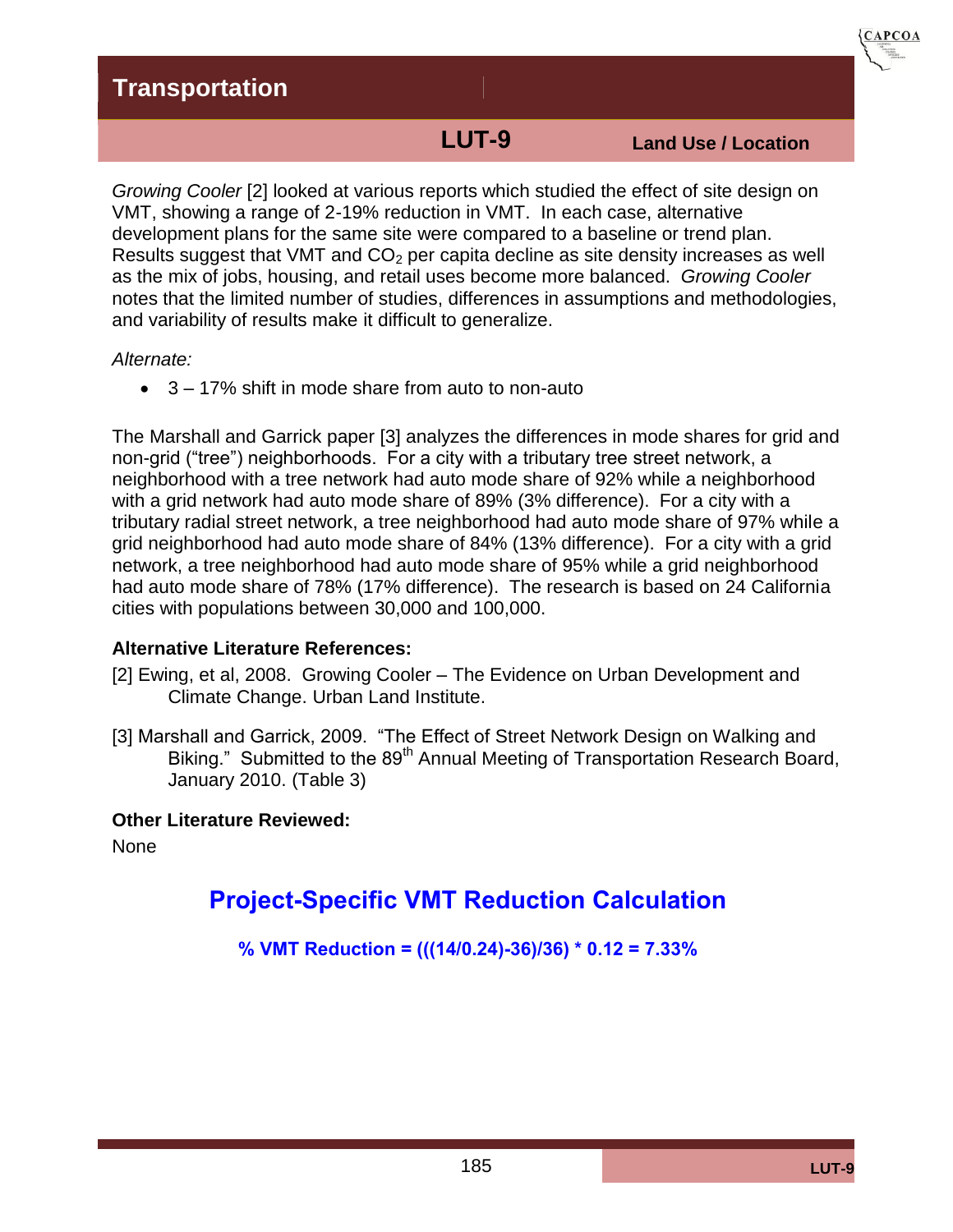**LUT-9 Land Use / Location**

**CAPCOA** 

*Growing Cooler* [2] looked at various reports which studied the effect of site design on VMT, showing a range of 2-19% reduction in VMT. In each case, alternative development plans for the same site were compared to a baseline or trend plan. Results suggest that VMT and  $CO<sub>2</sub>$  per capita decline as site density increases as well as the mix of jobs, housing, and retail uses become more balanced. *Growing Cooler* notes that the limited number of studies, differences in assumptions and methodologies, and variability of results make it difficult to generalize.

#### *Alternate:*

3 – 17% shift in mode share from auto to non-auto

The Marshall and Garrick paper [3] analyzes the differences in mode shares for grid and non-grid ("tree") neighborhoods. For a city with a tributary tree street network, a neighborhood with a tree network had auto mode share of 92% while a neighborhood with a grid network had auto mode share of 89% (3% difference). For a city with a tributary radial street network, a tree neighborhood had auto mode share of 97% while a grid neighborhood had auto mode share of 84% (13% difference). For a city with a grid network, a tree neighborhood had auto mode share of 95% while a grid neighborhood had auto mode share of 78% (17% difference). The research is based on 24 California cities with populations between 30,000 and 100,000.

### **Alternative Literature References:**

- [2] Ewing, et al, 2008. Growing Cooler The Evidence on Urban Development and Climate Change. Urban Land Institute.
- [3] Marshall and Garrick, 2009. "The Effect of Street Network Design on Walking and Biking." Submitted to the 89<sup>th</sup> Annual Meeting of Transportation Research Board, January 2010. (Table 3)

### **Other Literature Reviewed:**

None

# **Project-Specific VMT Reduction Calculation**

**% VMT Reduction = (((14/0.24)-36)/36) \* 0.12 = 7.33%**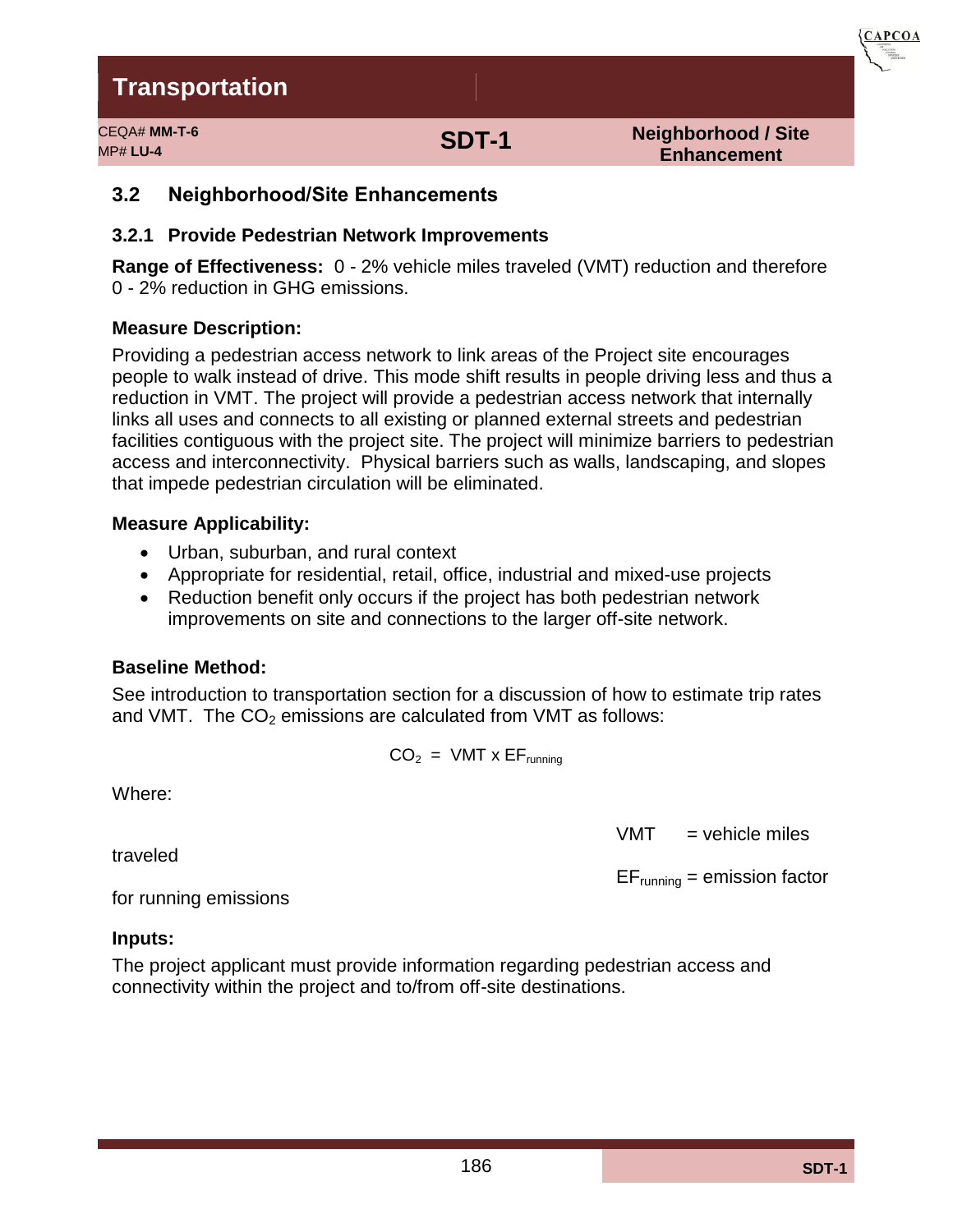CEQA# **MM-T-6** MP# **LU-4 SDT-1**

**Neighborhood / Site Enhancement**

**CAPCOA** 

### **3.2 Neighborhood/Site Enhancements**

#### **3.2.1 Provide Pedestrian Network Improvements**

**Range of Effectiveness:** 0 - 2% vehicle miles traveled (VMT) reduction and therefore 0 - 2% reduction in GHG emissions.

#### **Measure Description:**

Providing a pedestrian access network to link areas of the Project site encourages people to walk instead of drive. This mode shift results in people driving less and thus a reduction in VMT. The project will provide a pedestrian access network that internally links all uses and connects to all existing or planned external streets and pedestrian facilities contiguous with the project site. The project will minimize barriers to pedestrian access and interconnectivity. Physical barriers such as walls, landscaping, and slopes that impede pedestrian circulation will be eliminated.

#### **Measure Applicability:**

- Urban, suburban, and rural context
- Appropriate for residential, retail, office, industrial and mixed-use projects
- Reduction benefit only occurs if the project has both pedestrian network improvements on site and connections to the larger off-site network.

#### **Baseline Method:**

See introduction to transportation section for a discussion of how to estimate trip rates and VMT. The  $CO<sub>2</sub>$  emissions are calculated from VMT as follows:

$$
CO_2 = VMT \times EF_{running}
$$

Where:

traveled

 $VMT$  = vehicle miles

 $EF_{running} =$  emission factor

for running emissions

#### **Inputs:**

The project applicant must provide information regarding pedestrian access and connectivity within the project and to/from off-site destinations.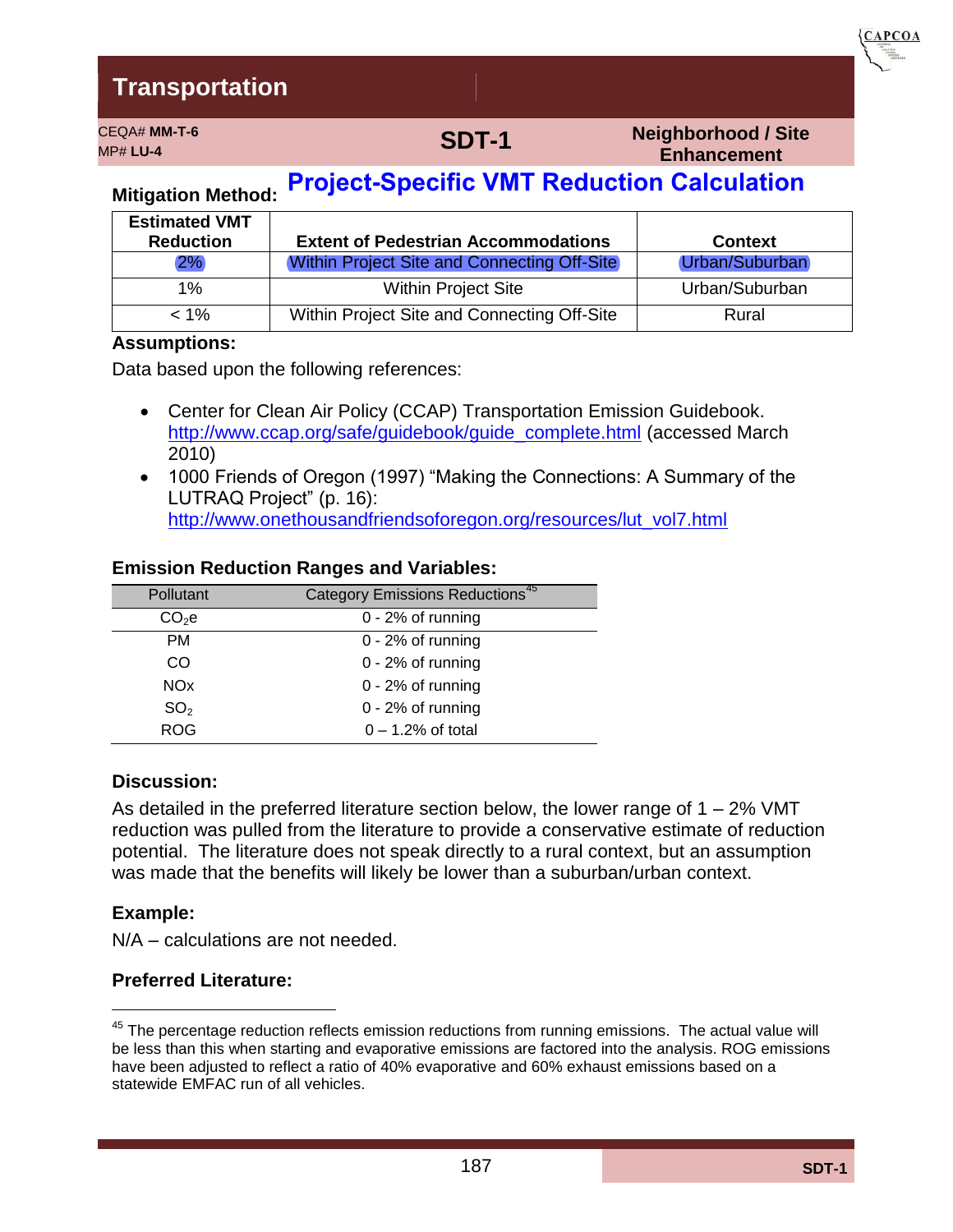MP# **LU-4 SDT-1**

**Neighborhood / Site Enhancement**

**CAPCOA** 

# **Mitigation Method: Project-Specific VMT Reduction Calculation**

CEQA# **MM-T-6**

| <b>Estimated VMT</b><br><b>Reduction</b> | <b>Extent of Pedestrian Accommodations</b>         | <b>Context</b> |
|------------------------------------------|----------------------------------------------------|----------------|
| 2%                                       | <b>Within Project Site and Connecting Off-Site</b> | Urban/Suburban |
| $1\%$                                    | <b>Within Project Site</b>                         | Urban/Suburban |
| $< 1\%$                                  | Within Project Site and Connecting Off-Site        | Rural          |

#### **Assumptions:**

Data based upon the following references:

- Center for Clean Air Policy (CCAP) Transportation Emission Guidebook. [http://www.ccap.org/safe/guidebook/guide\\_complete.html](http://www.ccap.org/safe/guidebook/guide_complete.html) (accessed March 2010)
- 1000 Friends of Oregon (1997) "Making the Connections: A Summary of the LUTRAQ Project" (p. 16): [http://www.onethousandfriendsoforegon.org/resources/lut\\_vol7.html](http://www.onethousandfriendsoforegon.org/resources/lut_vol7.html)

#### **Emission Reduction Ranges and Variables:**

| Pollutant             | Category Emissions Reductions <sup>45</sup> |
|-----------------------|---------------------------------------------|
| $CO2$ e               | $0 - 2%$ of running                         |
| <b>PM</b>             | $0 - 2%$ of running                         |
| CO                    | $0 - 2%$ of running                         |
| <b>NO<sub>x</sub></b> | $0 - 2%$ of running                         |
| SO <sub>2</sub>       | $0 - 2%$ of running                         |
| <b>ROG</b>            | $0 - 1.2%$ of total                         |

#### **Discussion:**

As detailed in the preferred literature section below, the lower range of  $1 - 2\%$  VMT reduction was pulled from the literature to provide a conservative estimate of reduction potential. The literature does not speak directly to a rural context, but an assumption was made that the benefits will likely be lower than a suburban/urban context.

#### **Example:**

N/A – calculations are not needed.

#### **Preferred Literature:**

 $45$  The percentage reduction reflects emission reductions from running emissions. The actual value will be less than this when starting and evaporative emissions are factored into the analysis. ROG emissions have been adjusted to reflect a ratio of 40% evaporative and 60% exhaust emissions based on a statewide EMFAC run of all vehicles.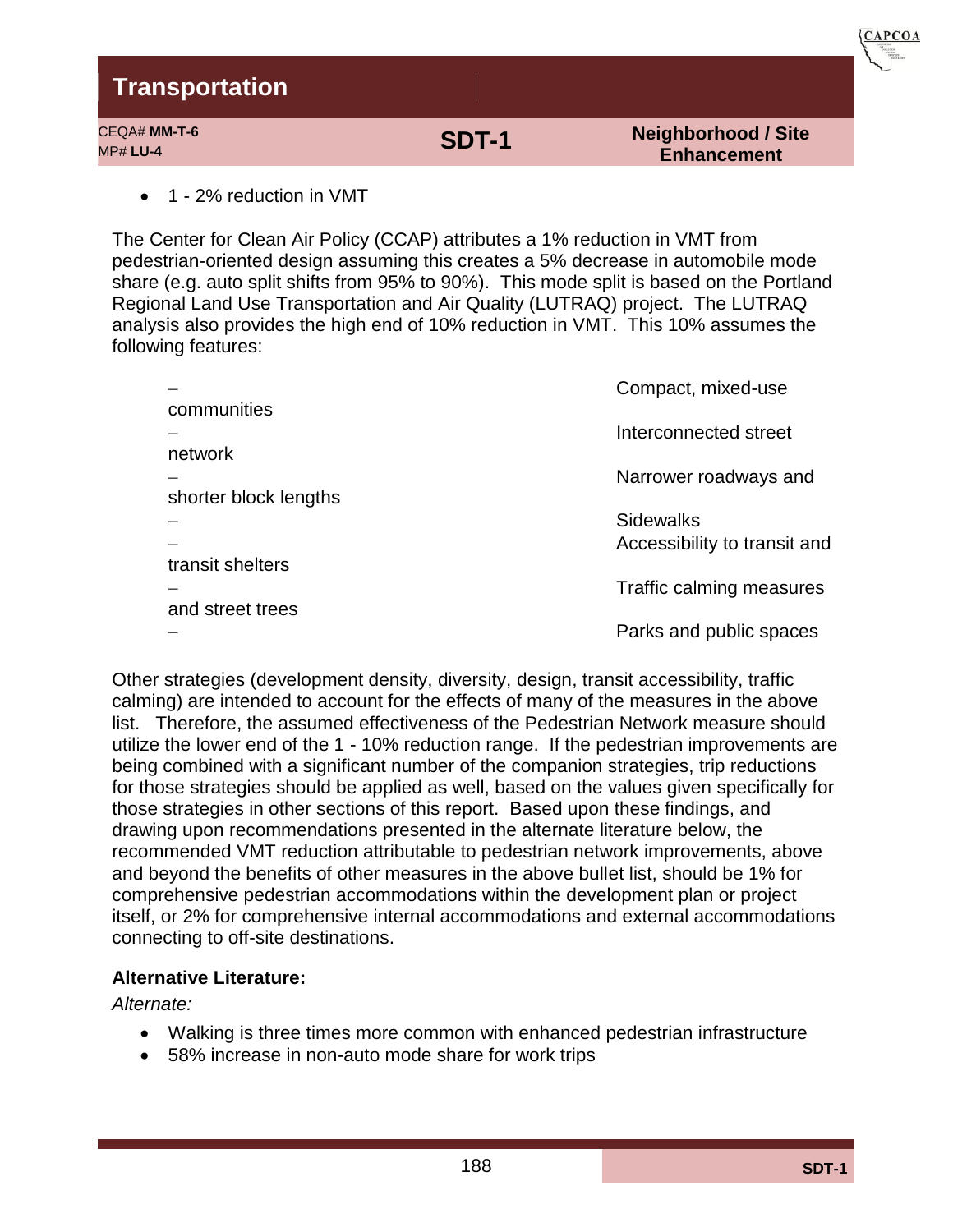| Transportation                  |       |                                                  | ASSOCIATION |
|---------------------------------|-------|--------------------------------------------------|-------------|
| CEQA# MM-T-6<br><b>MP# LU-4</b> | SDT-1 | <b>Neighborhood / Site</b><br><b>Enhancement</b> |             |
|                                 |       |                                                  |             |

1 - 2% reduction in VMT

The Center for Clean Air Policy (CCAP) attributes a 1% reduction in VMT from pedestrian-oriented design assuming this creates a 5% decrease in automobile mode share (e.g. auto split shifts from 95% to 90%). This mode split is based on the Portland Regional Land Use Transportation and Air Quality (LUTRAQ) project. The LUTRAQ analysis also provides the high end of 10% reduction in VMT. This 10% assumes the following features:

|                       | Compact, mixed-use           |
|-----------------------|------------------------------|
| communities           |                              |
|                       | Interconnected street        |
| network               |                              |
|                       | Narrower roadways and        |
| shorter block lengths |                              |
|                       | <b>Sidewalks</b>             |
| transit shelters      | Accessibility to transit and |
|                       | Traffic calming measures     |
| and street trees      |                              |
|                       | Parks and public spaces      |
|                       |                              |

Other strategies (development density, diversity, design, transit accessibility, traffic calming) are intended to account for the effects of many of the measures in the above list. Therefore, the assumed effectiveness of the Pedestrian Network measure should utilize the lower end of the 1 - 10% reduction range. If the pedestrian improvements are being combined with a significant number of the companion strategies, trip reductions for those strategies should be applied as well, based on the values given specifically for those strategies in other sections of this report. Based upon these findings, and drawing upon recommendations presented in the alternate literature below, the recommended VMT reduction attributable to pedestrian network improvements, above and beyond the benefits of other measures in the above bullet list, should be 1% for comprehensive pedestrian accommodations within the development plan or project itself, or 2% for comprehensive internal accommodations and external accommodations connecting to off-site destinations.

### **Alternative Literature:**

*Alternate:* 

- Walking is three times more common with enhanced pedestrian infrastructure
- 58% increase in non-auto mode share for work trips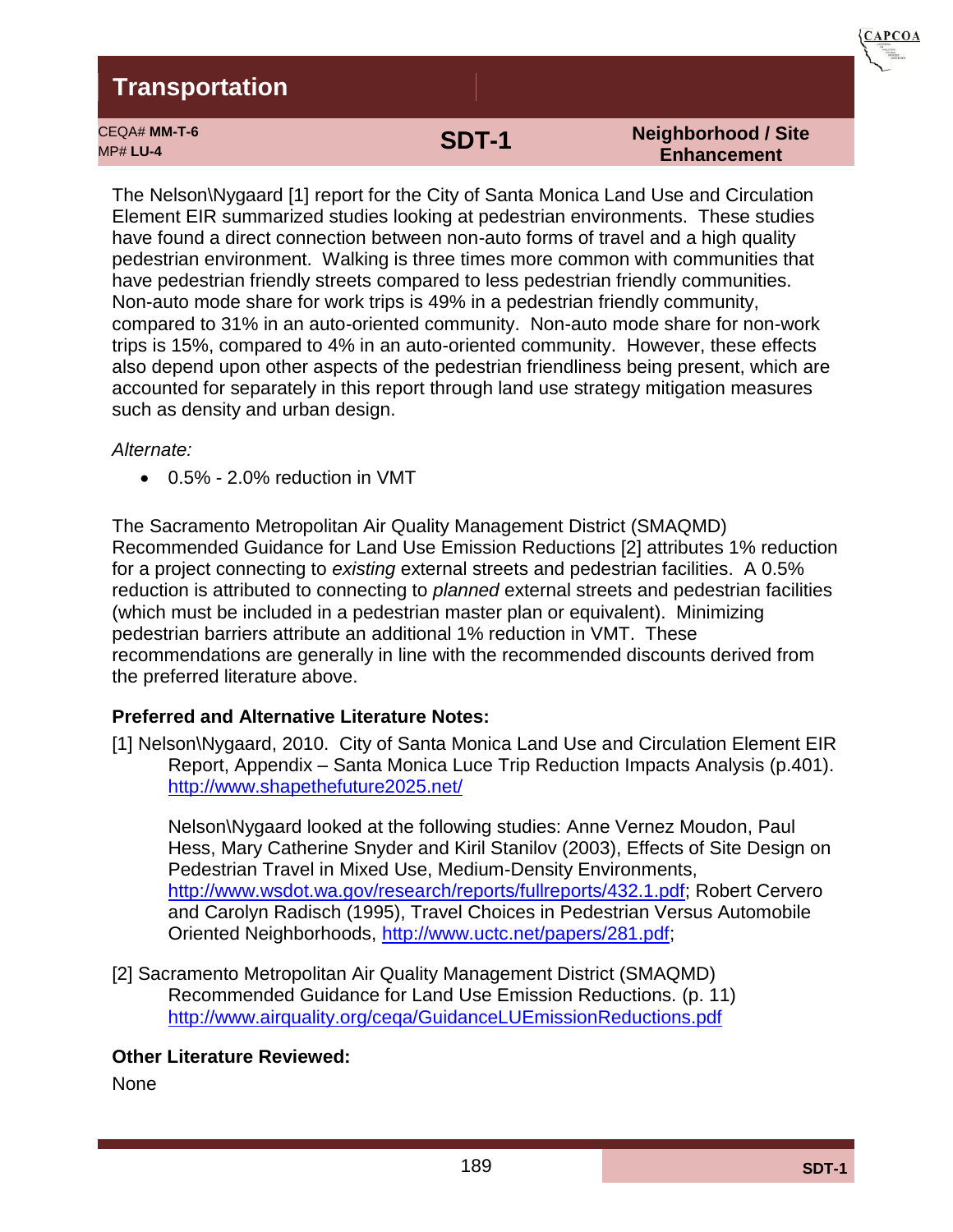CEQA# **MM-T-6**



MP# **LU-4 SDT-1**

#### **Neighborhood / Site Enhancement**

The Nelson\Nygaard [1] report for the City of Santa Monica Land Use and Circulation Element EIR summarized studies looking at pedestrian environments. These studies have found a direct connection between non-auto forms of travel and a high quality pedestrian environment. Walking is three times more common with communities that have pedestrian friendly streets compared to less pedestrian friendly communities. Non-auto mode share for work trips is 49% in a pedestrian friendly community, compared to 31% in an auto-oriented community. Non-auto mode share for non-work trips is 15%, compared to 4% in an auto-oriented community. However, these effects also depend upon other aspects of the pedestrian friendliness being present, which are accounted for separately in this report through land use strategy mitigation measures such as density and urban design.

#### *Alternate:*

0.5% - 2.0% reduction in VMT

The Sacramento Metropolitan Air Quality Management District (SMAQMD) Recommended Guidance for Land Use Emission Reductions [2] attributes 1% reduction for a project connecting to *existing* external streets and pedestrian facilities. A 0.5% reduction is attributed to connecting to *planned* external streets and pedestrian facilities (which must be included in a pedestrian master plan or equivalent). Minimizing pedestrian barriers attribute an additional 1% reduction in VMT. These recommendations are generally in line with the recommended discounts derived from the preferred literature above.

### **Preferred and Alternative Literature Notes:**

[1] Nelson\Nygaard, 2010. City of Santa Monica Land Use and Circulation Element EIR Report, Appendix – Santa Monica Luce Trip Reduction Impacts Analysis (p.401). <http://www.shapethefuture2025.net/>

Nelson\Nygaard looked at the following studies: Anne Vernez Moudon, Paul Hess, Mary Catherine Snyder and Kiril Stanilov (2003), Effects of Site Design on Pedestrian Travel in Mixed Use, Medium-Density Environments, [http://www.wsdot.wa.gov/research/reports/fullreports/432.1.pdf;](http://www.wsdot.wa.gov/research/reports/fullreports/432.1.pdf) Robert Cervero and Carolyn Radisch (1995), Travel Choices in Pedestrian Versus Automobile Oriented Neighborhoods, [http://www.uctc.net/papers/281.pdf;](http://www.uctc.net/papers/281.pdf)

[2] Sacramento Metropolitan Air Quality Management District (SMAQMD) Recommended Guidance for Land Use Emission Reductions. (p. 11) <http://www.airquality.org/ceqa/GuidanceLUEmissionReductions.pdf>

### **Other Literature Reviewed:**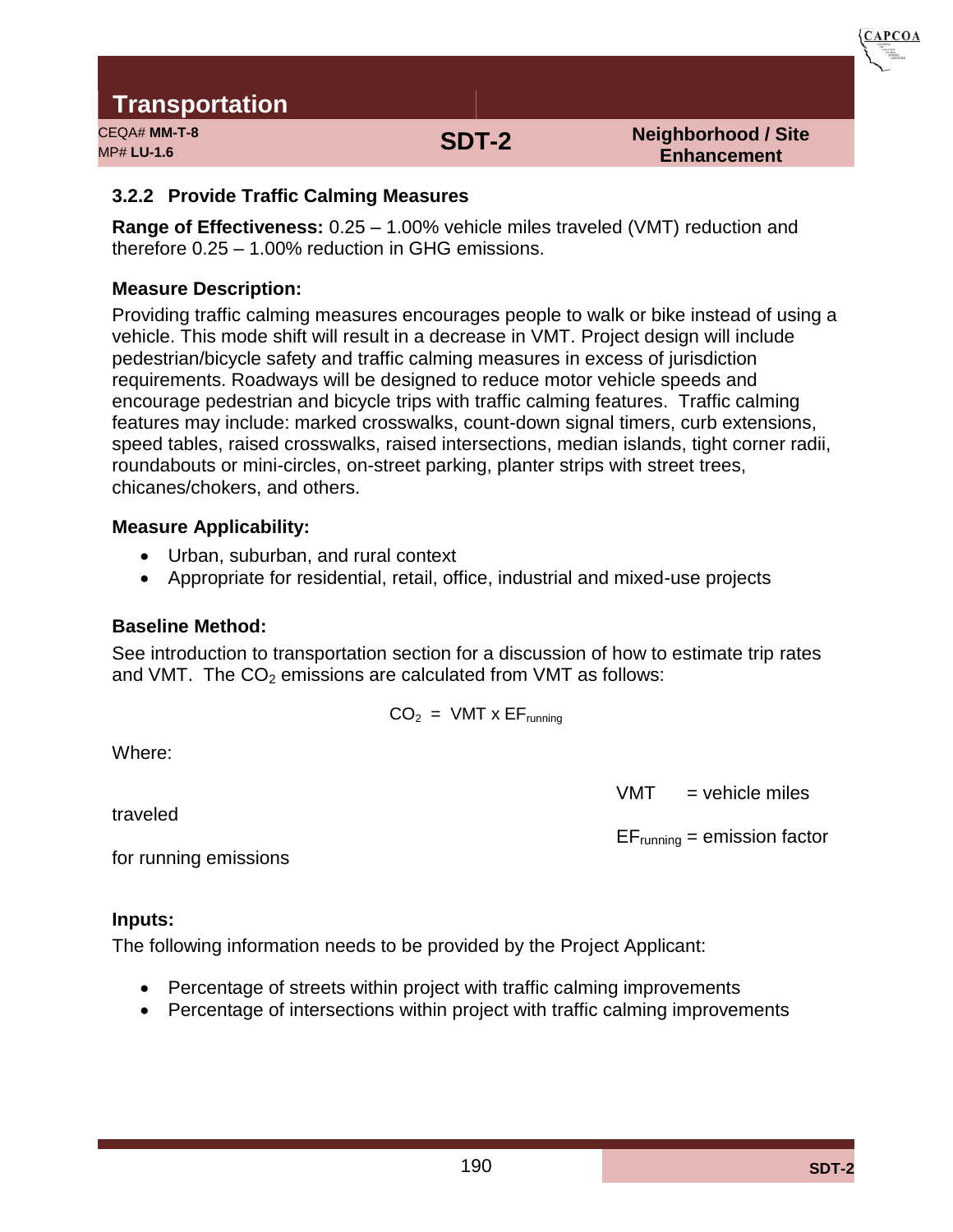

CEQA# **MM-T-8** MP# **LU-1.6 SDT-2**

**Neighborhood / Site Enhancement** 

### **3.2.2 Provide Traffic Calming Measures**

**Range of Effectiveness:** 0.25 – 1.00% vehicle miles traveled (VMT) reduction and therefore 0.25 – 1.00% reduction in GHG emissions.

### **Measure Description:**

Providing traffic calming measures encourages people to walk or bike instead of using a vehicle. This mode shift will result in a decrease in VMT. Project design will include pedestrian/bicycle safety and traffic calming measures in excess of jurisdiction requirements. Roadways will be designed to reduce motor vehicle speeds and encourage pedestrian and bicycle trips with traffic calming features. Traffic calming features may include: marked crosswalks, count-down signal timers, curb extensions, speed tables, raised crosswalks, raised intersections, median islands, tight corner radii, roundabouts or mini-circles, on-street parking, planter strips with street trees, chicanes/chokers, and others.

### **Measure Applicability:**

- Urban, suburban, and rural context
- Appropriate for residential, retail, office, industrial and mixed-use projects

### **Baseline Method:**

See introduction to transportation section for a discussion of how to estimate trip rates and VMT. The  $CO<sub>2</sub>$  emissions are calculated from VMT as follows:

$$
CO_2 = VMT \times EF_{running}
$$

Where:

traveled

 $VMT$  = vehicle miles

 $EF_{\text{running}} =$  emission factor

for running emissions

#### **Inputs:**

The following information needs to be provided by the Project Applicant:

- Percentage of streets within project with traffic calming improvements
- Percentage of intersections within project with traffic calming improvements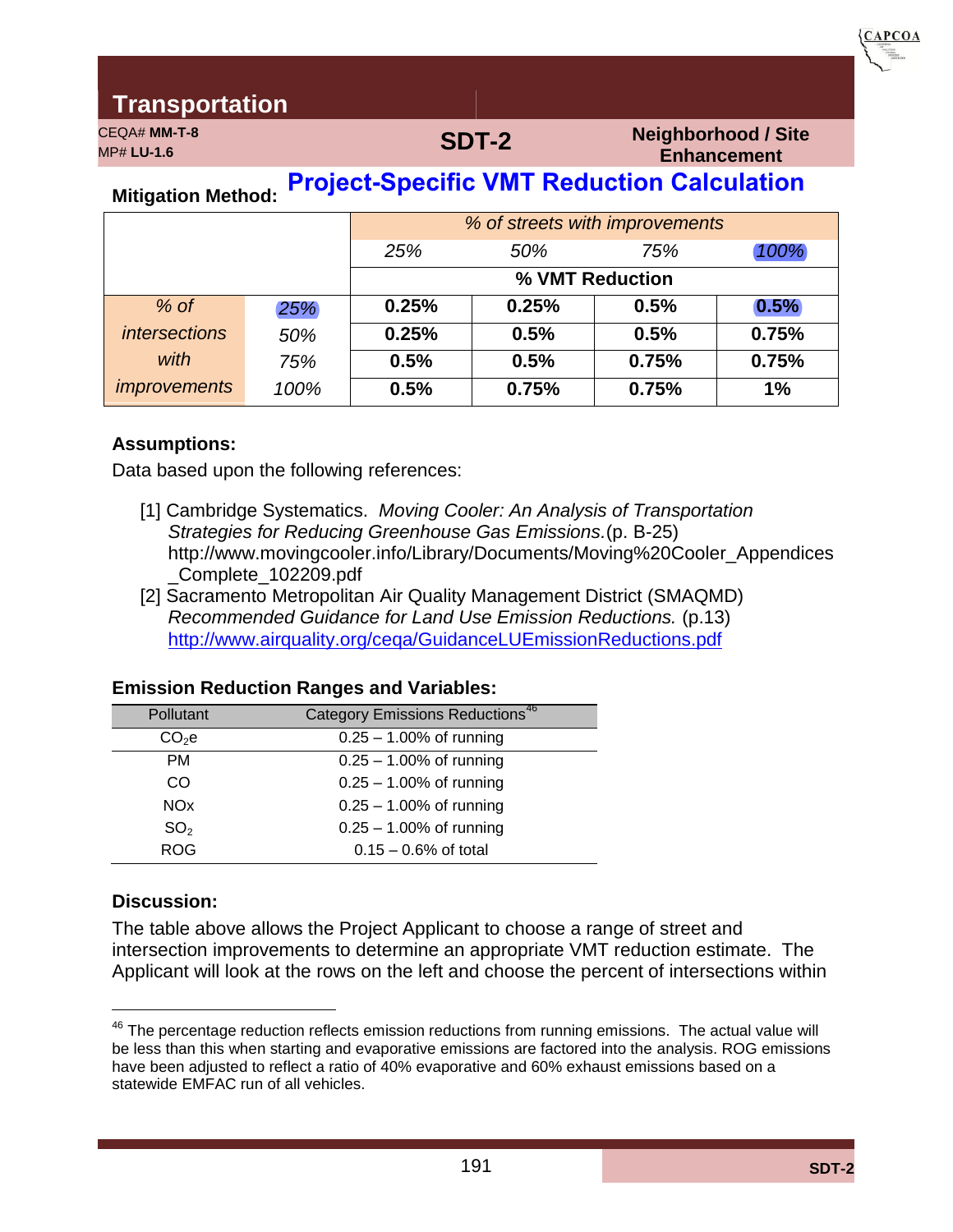CEQA# **MM-T-8**

# MP# **LU-1.6 SDT-2**

**Neighborhood / Site Enhancement** 

**CAPCOA** 

# **Mitigation Method: Project-Specific VMT Reduction Calculation**

|                      |      | % of streets with improvements |       |                 |       |
|----------------------|------|--------------------------------|-------|-----------------|-------|
|                      |      | 25%                            | 50%   | 75%             | 100%  |
|                      |      |                                |       | % VMT Reduction |       |
| $%$ of               | 25%  | 0.25%                          | 0.25% | 0.5%            | 0.5%  |
| <i>intersections</i> | 50%  | 0.25%                          | 0.5%  | 0.5%            | 0.75% |
| with                 | 75%  | 0.5%                           | 0.5%  | 0.75%           | 0.75% |
| <i>improvements</i>  | 100% | 0.5%                           | 0.75% | 0.75%           | 1%    |

#### **Assumptions:**

Data based upon the following references:

- [1] Cambridge Systematics. *Moving Cooler: An Analysis of Transportation Strategies for Reducing Greenhouse Gas Emissions.*(p. B-25) http://www.movingcooler.info/Library/Documents/Moving%20Cooler\_Appendices \_Complete\_102209.pdf
- [2] Sacramento Metropolitan Air Quality Management District (SMAQMD) *Recommended Guidance for Land Use Emission Reductions.* (p.13) <http://www.airquality.org/ceqa/GuidanceLUEmissionReductions.pdf>

#### **Emission Reduction Ranges and Variables:**

| Pollutant             | <b>Category Emissions Reductions<sup>46</sup></b> |
|-----------------------|---------------------------------------------------|
| $CO2$ e               | $0.25 - 1.00\%$ of running                        |
| <b>PM</b>             | $0.25 - 1.00\%$ of running                        |
| CO                    | $0.25 - 1.00\%$ of running                        |
| <b>NO<sub>x</sub></b> | $0.25 - 1.00\%$ of running                        |
| SO <sub>2</sub>       | $0.25 - 1.00\%$ of running                        |
| <b>ROG</b>            | $0.15 - 0.6\%$ of total                           |
|                       |                                                   |

#### **Discussion:**

The table above allows the Project Applicant to choose a range of street and intersection improvements to determine an appropriate VMT reduction estimate. The Applicant will look at the rows on the left and choose the percent of intersections within

 $46$  The percentage reduction reflects emission reductions from running emissions. The actual value will be less than this when starting and evaporative emissions are factored into the analysis. ROG emissions have been adjusted to reflect a ratio of 40% evaporative and 60% exhaust emissions based on a statewide EMFAC run of all vehicles.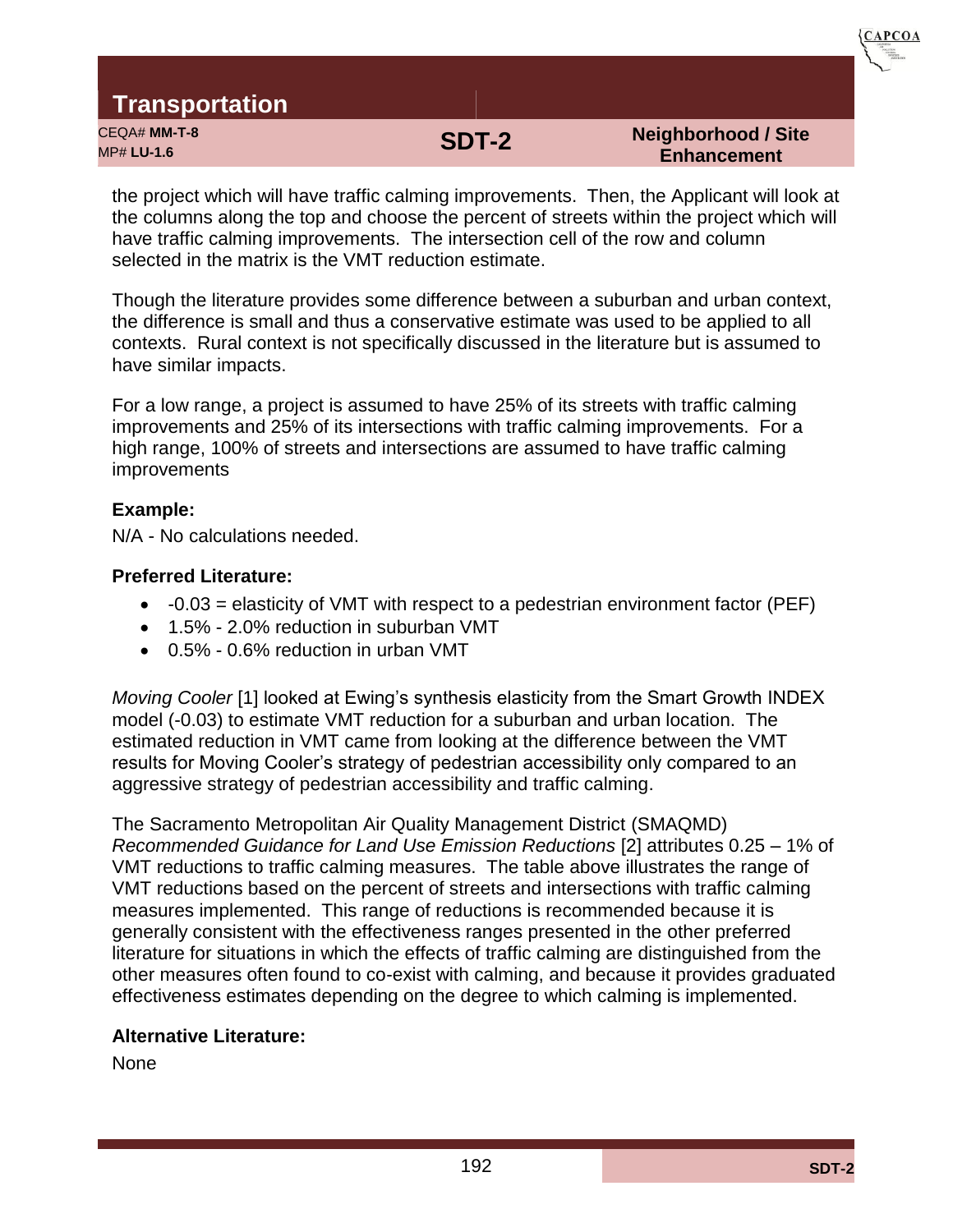

CEQA# **MM-T-8** MP# **LU-1.6 SDT-2**

#### **Neighborhood / Site Enhancement**

the project which will have traffic calming improvements. Then, the Applicant will look at the columns along the top and choose the percent of streets within the project which will have traffic calming improvements. The intersection cell of the row and column selected in the matrix is the VMT reduction estimate.

Though the literature provides some difference between a suburban and urban context, the difference is small and thus a conservative estimate was used to be applied to all contexts. Rural context is not specifically discussed in the literature but is assumed to have similar impacts.

For a low range, a project is assumed to have 25% of its streets with traffic calming improvements and 25% of its intersections with traffic calming improvements. For a high range, 100% of streets and intersections are assumed to have traffic calming improvements

#### **Example:**

N/A - No calculations needed.

### **Preferred Literature:**

- $\bullet$  -0.03 = elasticity of VMT with respect to a pedestrian environment factor (PEF)
- 1.5% 2.0% reduction in suburban VMT
- 0.5% 0.6% reduction in urban VMT

*Moving Cooler* [1] looked at Ewing's synthesis elasticity from the Smart Growth INDEX model (-0.03) to estimate VMT reduction for a suburban and urban location. The estimated reduction in VMT came from looking at the difference between the VMT results for Moving Cooler's strategy of pedestrian accessibility only compared to an aggressive strategy of pedestrian accessibility and traffic calming.

The Sacramento Metropolitan Air Quality Management District (SMAQMD) *Recommended Guidance for Land Use Emission Reductions* [2] attributes 0.25 – 1% of VMT reductions to traffic calming measures. The table above illustrates the range of VMT reductions based on the percent of streets and intersections with traffic calming measures implemented. This range of reductions is recommended because it is generally consistent with the effectiveness ranges presented in the other preferred literature for situations in which the effects of traffic calming are distinguished from the other measures often found to co-exist with calming, and because it provides graduated effectiveness estimates depending on the degree to which calming is implemented.

### **Alternative Literature:**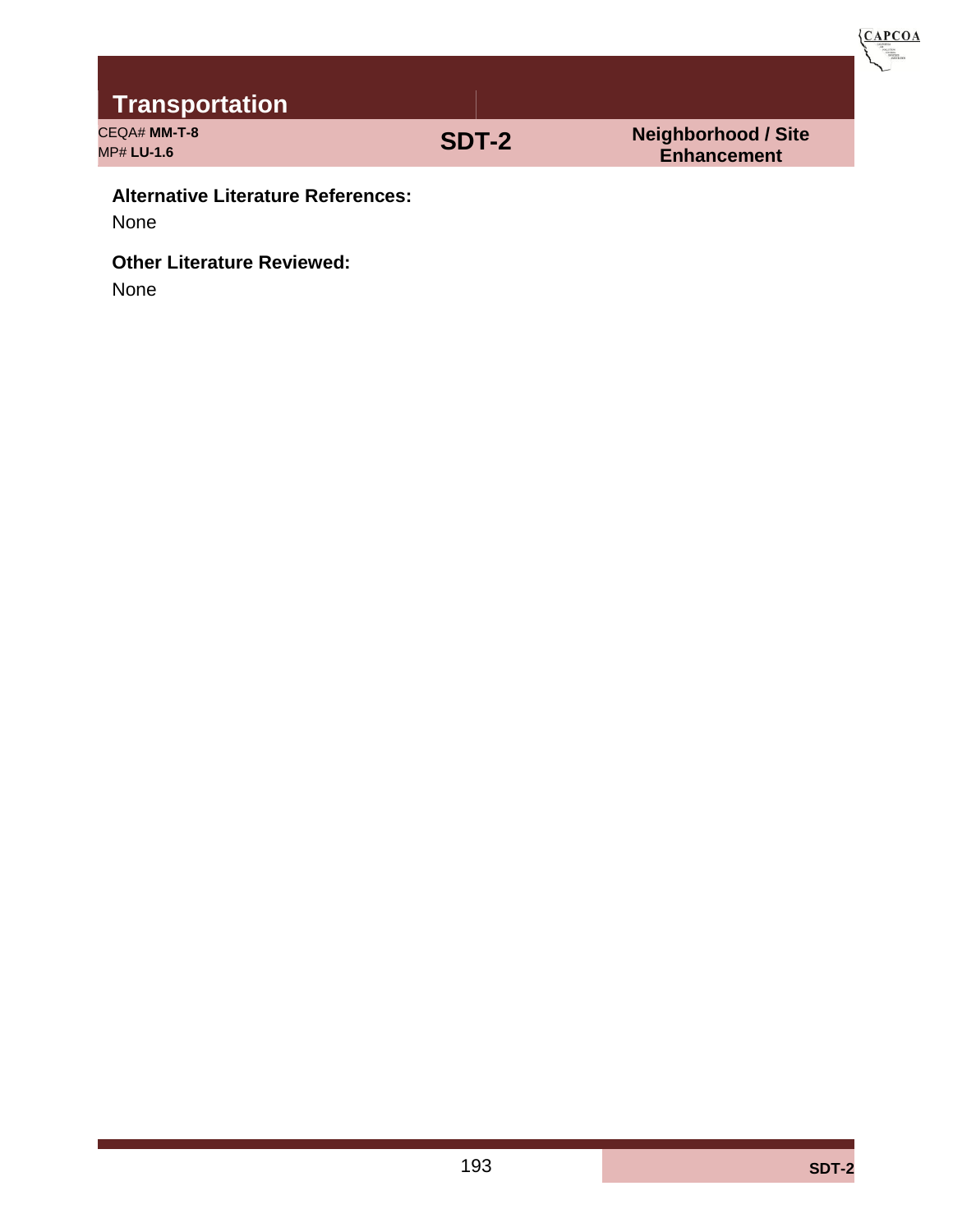

CEQA# **MM-T-8** CEQA# **MM-T-8**<br>MP# LU-1.6 **SDT-2** 

**Transportation**

**Enhancement** 

#### **Alternative Literature References:**

None

### **Other Literature Reviewed:**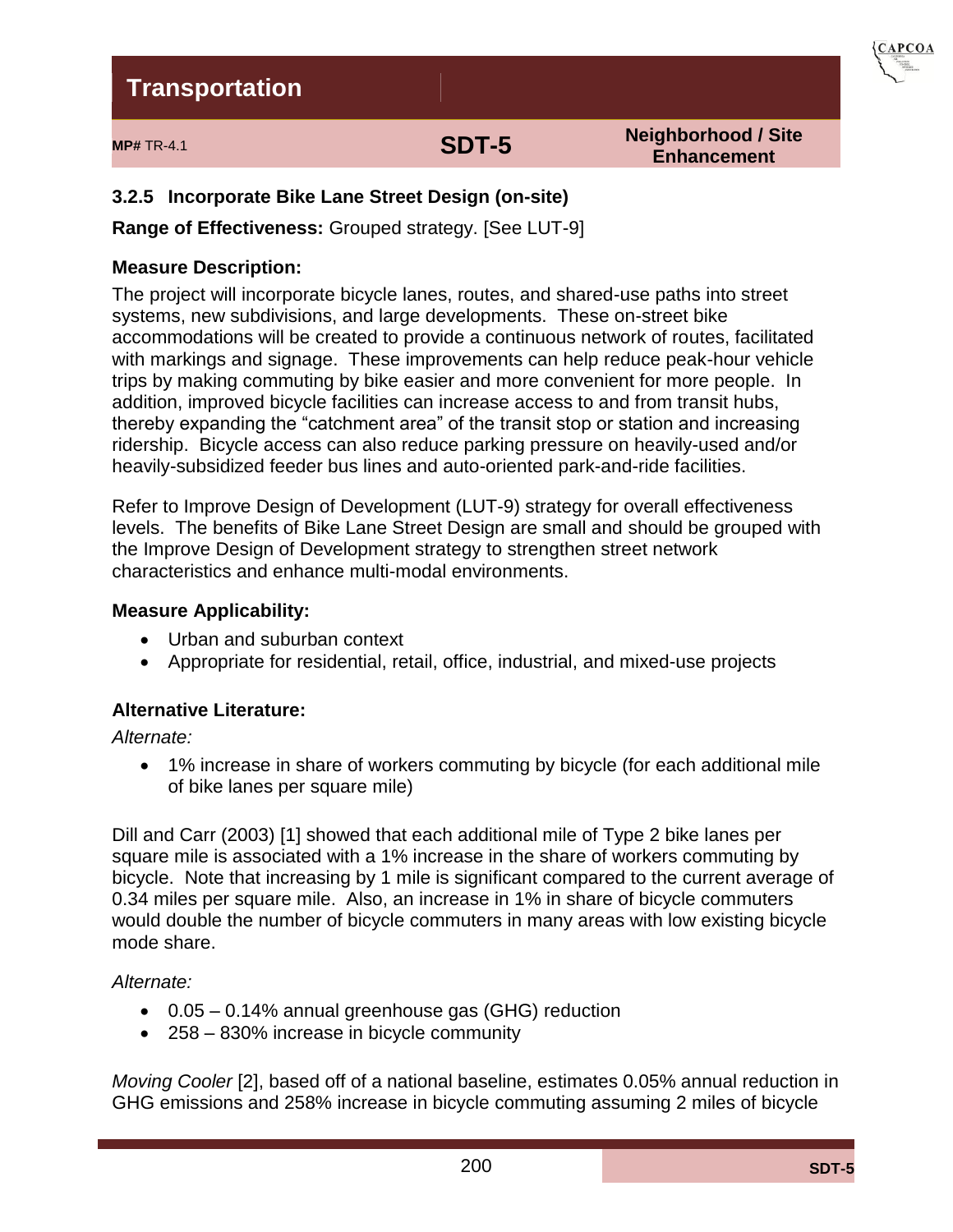

# **MP# TR-4.1 SDT-5**

**Neighborhood / Site Enhancement**

### **3.2.5 Incorporate Bike Lane Street Design (on-site)**

**Range of Effectiveness:** Grouped strategy. [See LUT-9]

#### **Measure Description:**

The project will incorporate bicycle lanes, routes, and shared-use paths into street systems, new subdivisions, and large developments. These on-street bike accommodations will be created to provide a continuous network of routes, facilitated with markings and signage. These improvements can help reduce peak-hour vehicle trips by making commuting by bike easier and more convenient for more people. In addition, improved bicycle facilities can increase access to and from transit hubs, thereby expanding the "catchment area" of the transit stop or station and increasing ridership. Bicycle access can also reduce parking pressure on heavily-used and/or heavily-subsidized feeder bus lines and auto-oriented park-and-ride facilities.

Refer to Improve Design of Development (LUT-9) strategy for overall effectiveness levels. The benefits of Bike Lane Street Design are small and should be grouped with the Improve Design of Development strategy to strengthen street network characteristics and enhance multi-modal environments.

#### **Measure Applicability:**

- Urban and suburban context
- Appropriate for residential, retail, office, industrial, and mixed-use projects

### **Alternative Literature:**

*Alternate:* 

 1% increase in share of workers commuting by bicycle (for each additional mile of bike lanes per square mile)

Dill and Carr (2003) [1] showed that each additional mile of Type 2 bike lanes per square mile is associated with a 1% increase in the share of workers commuting by bicycle. Note that increasing by 1 mile is significant compared to the current average of 0.34 miles per square mile. Also, an increase in 1% in share of bicycle commuters would double the number of bicycle commuters in many areas with low existing bicycle mode share.

### *Alternate:*

- 0.05 0.14% annual greenhouse gas (GHG) reduction
- 258 830% increase in bicycle community

*Moving Cooler* [2], based off of a national baseline, estimates 0.05% annual reduction in GHG emissions and 258% increase in bicycle commuting assuming 2 miles of bicycle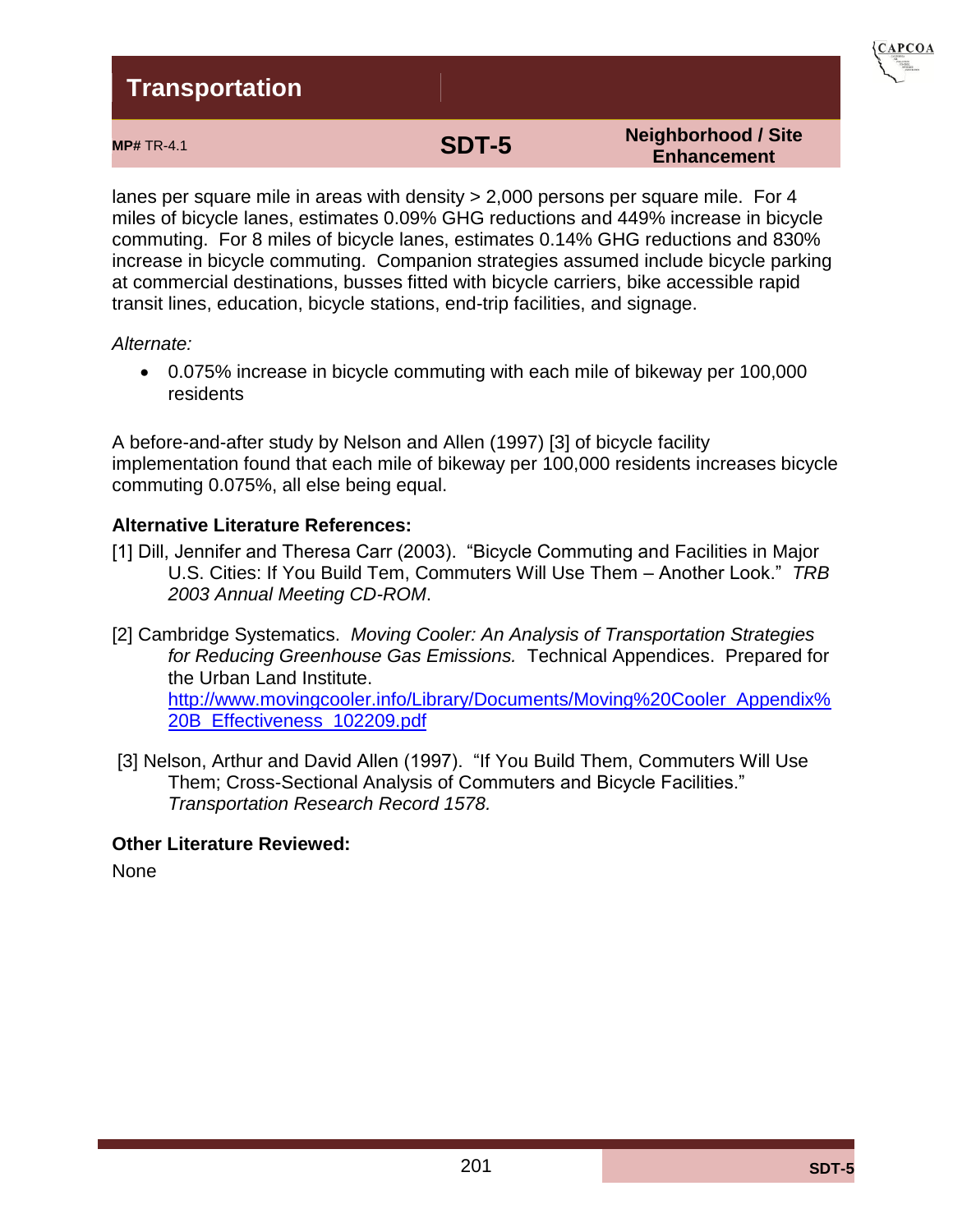

#### **Neighborhood / Site Enhancement**

lanes per square mile in areas with density > 2,000 persons per square mile. For 4 miles of bicycle lanes, estimates 0.09% GHG reductions and 449% increase in bicycle commuting. For 8 miles of bicycle lanes, estimates 0.14% GHG reductions and 830% increase in bicycle commuting. Companion strategies assumed include bicycle parking at commercial destinations, busses fitted with bicycle carriers, bike accessible rapid transit lines, education, bicycle stations, end-trip facilities, and signage.

#### *Alternate:*

 0.075% increase in bicycle commuting with each mile of bikeway per 100,000 residents

A before-and-after study by Nelson and Allen (1997) [3] of bicycle facility implementation found that each mile of bikeway per 100,000 residents increases bicycle commuting 0.075%, all else being equal.

#### **Alternative Literature References:**

- [1] Dill, Jennifer and Theresa Carr (2003). "Bicycle Commuting and Facilities in Major U.S. Cities: If You Build Tem, Commuters Will Use Them – Another Look." *TRB 2003 Annual Meeting CD-ROM*.
- [2] Cambridge Systematics. *Moving Cooler: An Analysis of Transportation Strategies for Reducing Greenhouse Gas Emissions.* Technical Appendices. Prepared for the Urban Land Institute. [http://www.movingcooler.info/Library/Documents/Moving%20Cooler\\_Appendix%](http://www.movingcooler.info/Library/Documents/Moving%20Cooler_Appendix%20B_Effectiveness_102209.pdf) [20B\\_Effectiveness\\_102209.pdf](http://www.movingcooler.info/Library/Documents/Moving%20Cooler_Appendix%20B_Effectiveness_102209.pdf)
- [3] Nelson, Arthur and David Allen (1997). "If You Build Them, Commuters Will Use Them; Cross-Sectional Analysis of Commuters and Bicycle Facilities." *Transportation Research Record 1578.*

#### **Other Literature Reviewed:**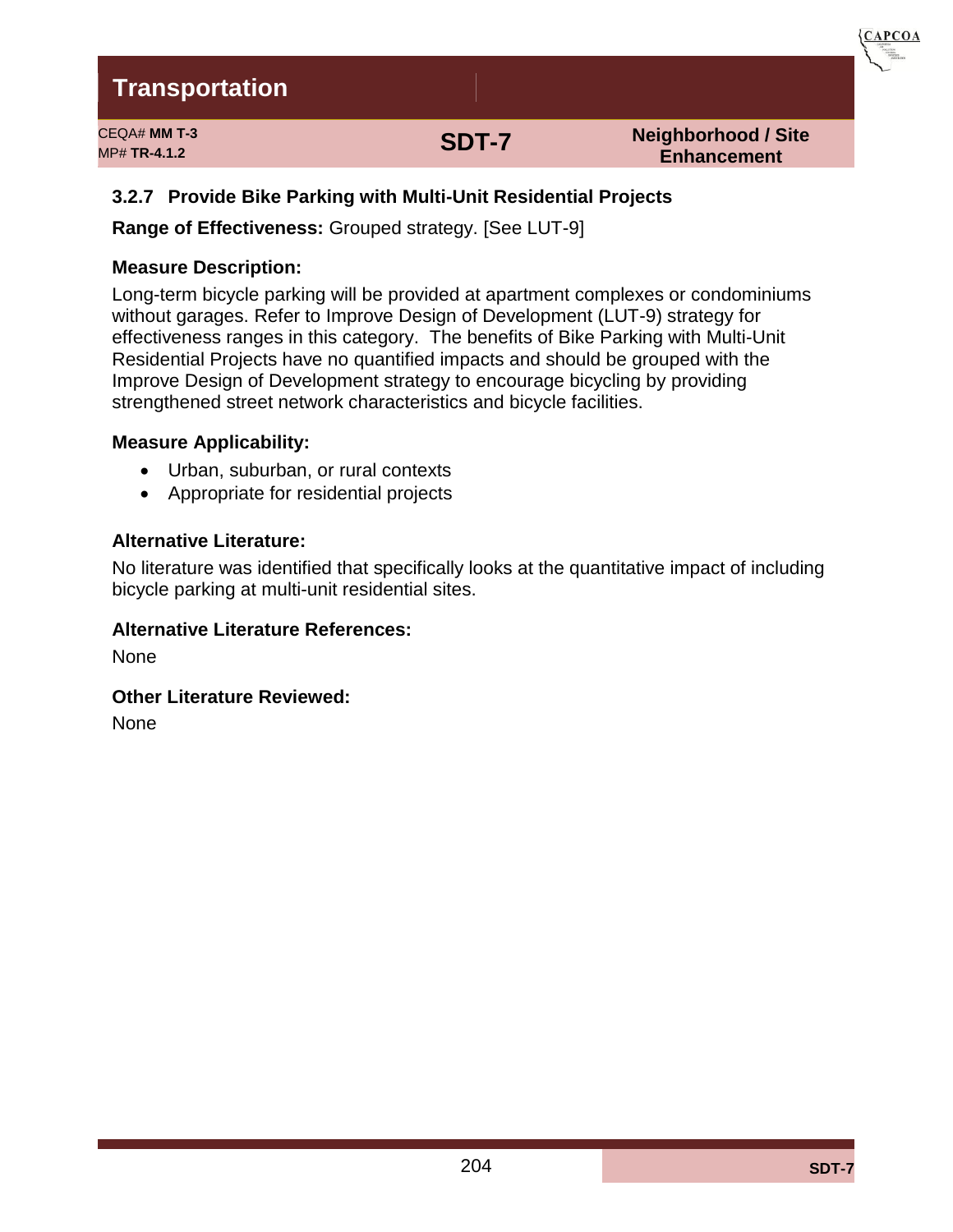CEQA# **MM T-3** MP# **TR-4.1.2 SDT-7**

**Neighborhood / Site Enhancement** 

 ${CAPCOA}$ 

### **3.2.7 Provide Bike Parking with Multi-Unit Residential Projects**

**Range of Effectiveness:** Grouped strategy. [See LUT-9]

#### **Measure Description:**

Long-term bicycle parking will be provided at apartment complexes or condominiums without garages. Refer to Improve Design of Development (LUT-9) strategy for effectiveness ranges in this category. The benefits of Bike Parking with Multi-Unit Residential Projects have no quantified impacts and should be grouped with the Improve Design of Development strategy to encourage bicycling by providing strengthened street network characteristics and bicycle facilities.

#### **Measure Applicability:**

- Urban, suburban, or rural contexts
- Appropriate for residential projects

#### **Alternative Literature:**

No literature was identified that specifically looks at the quantitative impact of including bicycle parking at multi-unit residential sites.

#### **Alternative Literature References:**

None

**Other Literature Reviewed:**